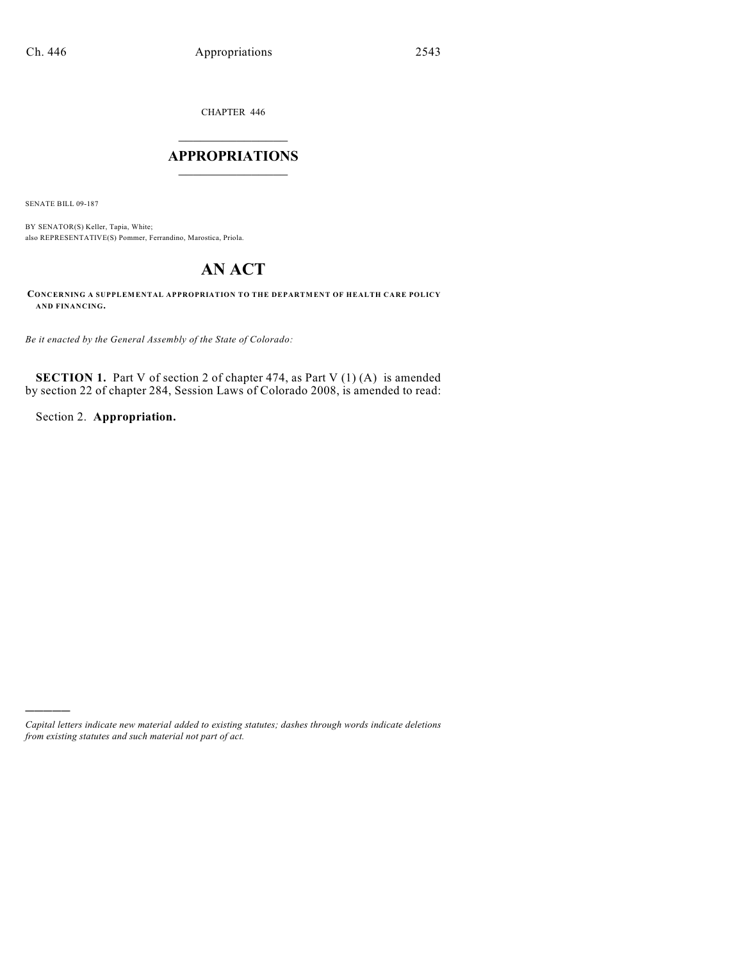CHAPTER 446

# $\mathcal{L}_\text{max}$  . The set of the set of the set of the set of the set of the set of the set of the set of the set of the set of the set of the set of the set of the set of the set of the set of the set of the set of the set **APPROPRIATIONS**  $\_$   $\_$   $\_$   $\_$   $\_$   $\_$   $\_$   $\_$

SENATE BILL 09-187

)))))

BY SENATOR(S) Keller, Tapia, White; also REPRESENTATIVE(S) Pommer, Ferrandino, Marostica, Priola.

# **AN ACT**

**CONCERNING A SUPPLEMENTAL APPROPRIATION TO THE DEPARTMENT OF HEALTH CARE POLICY AND FINANCING.**

*Be it enacted by the General Assembly of the State of Colorado:*

**SECTION 1.** Part V of section 2 of chapter 474, as Part V (1) (A) is amended by section 22 of chapter 284, Session Laws of Colorado 2008, is amended to read:

Section 2. **Appropriation.**

*Capital letters indicate new material added to existing statutes; dashes through words indicate deletions from existing statutes and such material not part of act.*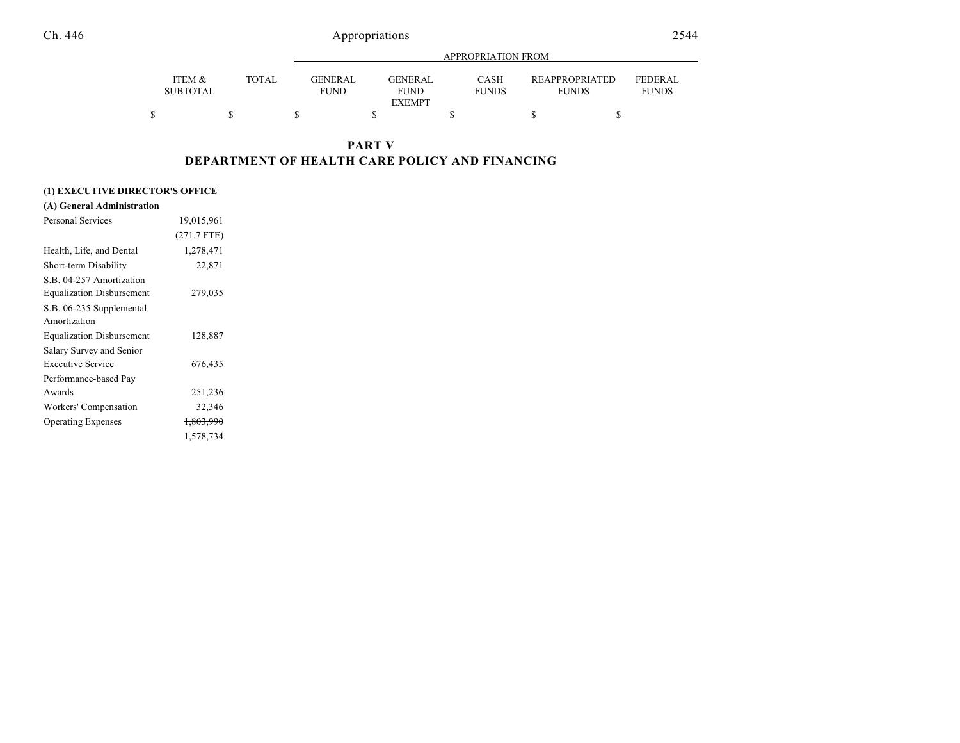|                           |              |                               |                                                | APPROPRIATION FROM          |                                       |                                |
|---------------------------|--------------|-------------------------------|------------------------------------------------|-----------------------------|---------------------------------------|--------------------------------|
| ITEM &<br><b>SUBTOTAL</b> | <b>TOTAL</b> | <b>GENERAL</b><br><b>FUND</b> | <b>GENERAL</b><br><b>FUND</b><br><b>EXEMPT</b> | <b>CASH</b><br><b>FUNDS</b> | <b>REAPPROPRIATED</b><br><b>FUNDS</b> | <b>FEDERAL</b><br><b>FUNDS</b> |
| \$                        |              |                               |                                                |                             |                                       |                                |

### **PART V DEPARTMENT OF HEALTH CARE POLICY AND FINANCING**

#### **(1) EXECUTIVE DIRECTOR'S OFFICE**

| (A) General Administration       |                      |  |
|----------------------------------|----------------------|--|
| Personal Services                | 19,015,961           |  |
|                                  | $(271.7$ FTE)        |  |
| Health, Life, and Dental         | 1,278,471            |  |
| Short-term Disability            | 22,871               |  |
| S.B. 04-257 Amortization         |                      |  |
| <b>Equalization Disbursement</b> | 279,035              |  |
| S.B. 06-235 Supplemental         |                      |  |
| Amortization                     |                      |  |
| <b>Equalization Disbursement</b> | 128,887              |  |
| Salary Survey and Senior         |                      |  |
| <b>Executive Service</b>         | 676,435              |  |
| Performance-based Pay            |                      |  |
| Awards                           | 251,236              |  |
| Workers' Compensation            | 32,346               |  |
| <b>Operating Expenses</b>        | <del>1,803,990</del> |  |
|                                  | 1,578,734            |  |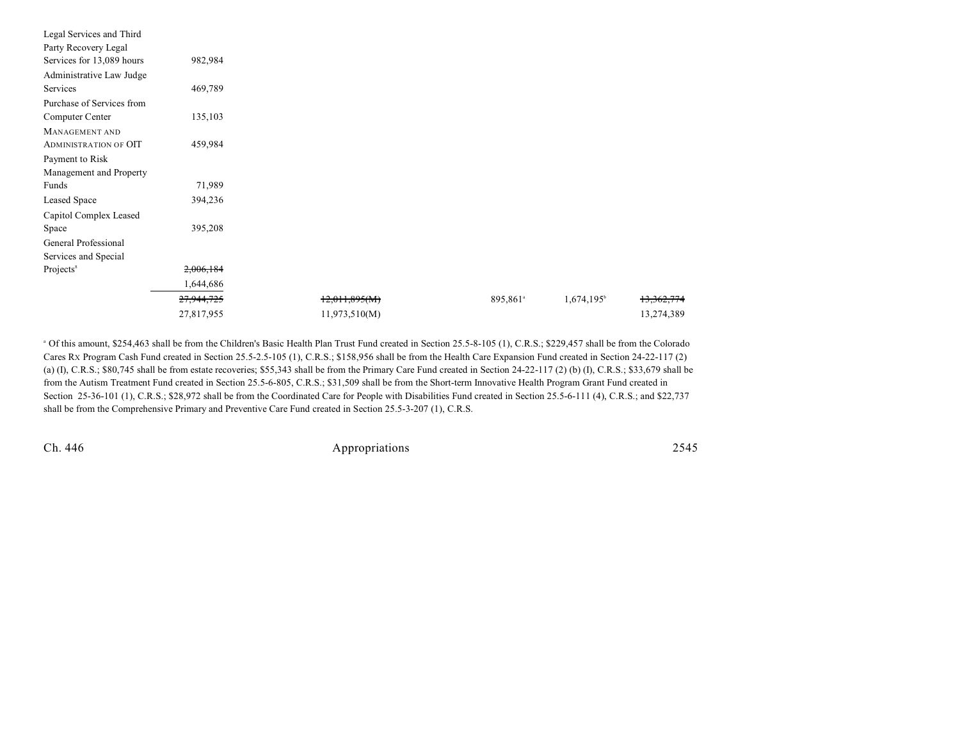| Legal Services and Third     |            |               |                      |                     |            |
|------------------------------|------------|---------------|----------------------|---------------------|------------|
| Party Recovery Legal         |            |               |                      |                     |            |
| Services for 13,089 hours    | 982,984    |               |                      |                     |            |
| Administrative Law Judge     |            |               |                      |                     |            |
| Services                     | 469,789    |               |                      |                     |            |
| Purchase of Services from    |            |               |                      |                     |            |
| Computer Center              | 135,103    |               |                      |                     |            |
| MANAGEMENT AND               |            |               |                      |                     |            |
| <b>ADMINISTRATION OF OIT</b> | 459,984    |               |                      |                     |            |
| Payment to Risk              |            |               |                      |                     |            |
| Management and Property      |            |               |                      |                     |            |
| Funds                        | 71,989     |               |                      |                     |            |
| Leased Space                 | 394,236    |               |                      |                     |            |
| Capitol Complex Leased       |            |               |                      |                     |            |
| Space                        | 395,208    |               |                      |                     |            |
| General Professional         |            |               |                      |                     |            |
| Services and Special         |            |               |                      |                     |            |
| Projects <sup>8</sup>        | 2,006,184  |               |                      |                     |            |
|                              | 1,644,686  |               |                      |                     |            |
|                              | 27,944,725 | 12,011,895(M) | 895,861 <sup>a</sup> | $1,674,195^{\circ}$ | 13,362,774 |
|                              | 27,817,955 | 11,973,510(M) |                      |                     | 13,274,389 |

<sup>a</sup> Of this amount, \$254,463 shall be from the Children's Basic Health Plan Trust Fund created in Section 25.5-8-105 (1), C.R.S.; \$229,457 shall be from the Colorado Cares RX Program Cash Fund created in Section 25.5-2.5-105 (1), C.R.S.; \$158,956 shall be from the Health Care Expansion Fund created in Section 24-22-117 (2) (a) (I), C.R.S.; \$80,745 shall be from estate recoveries; \$55,343 shall be from the Primary Care Fund created in Section 24-22-117 (2) (b) (I), C.R.S.; \$33,679 shall be from the Autism Treatment Fund created in Section 25.5-6-805, C.R.S.; \$31,509 shall be from the Short-term Innovative Health Program Grant Fund created in Section 25-36-101 (1), C.R.S.; \$28,972 shall be from the Coordinated Care for People with Disabilities Fund created in Section 25.5-6-111 (4), C.R.S.; and \$22,737 shall be from the Comprehensive Primary and Preventive Care Fund created in Section 25.5-3-207 (1), C.R.S.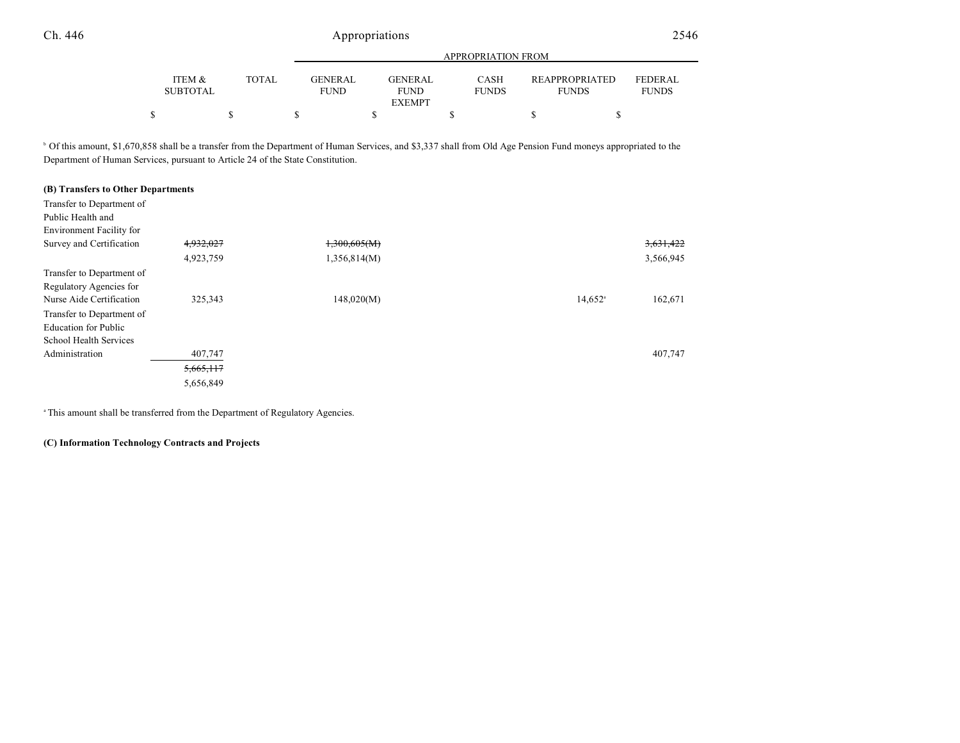|                           |              |                               |                                         | APPROPRIATION FROM   |                                       |                                |
|---------------------------|--------------|-------------------------------|-----------------------------------------|----------------------|---------------------------------------|--------------------------------|
| ITEM &<br><b>SUBTOTAL</b> | <b>TOTAL</b> | <b>GENERAL</b><br><b>FUND</b> | GENERAL<br><b>FUND</b><br><b>EXEMPT</b> | CASH<br><b>FUNDS</b> | <b>REAPPROPRIATED</b><br><b>FUNDS</b> | <b>FEDERAL</b><br><b>FUNDS</b> |
|                           |              |                               |                                         |                      |                                       |                                |

<sup>b</sup> Of this amount, \$1,670,858 shall be a transfer from the Department of Human Services, and \$3,337 shall from Old Age Pension Fund moneys appropriated to the Department of Human Services, pursuant to Article 24 of the State Constitution.

### **(B) Transfers to Other Departments**

| Transfer to Department of   |           |              |                       |           |
|-----------------------------|-----------|--------------|-----------------------|-----------|
| Public Health and           |           |              |                       |           |
| Environment Facility for    |           |              |                       |           |
| Survey and Certification    | 4,932,027 | 1,300,605(M) |                       | 3,631,422 |
|                             | 4,923,759 | 1,356,814(M) |                       | 3,566,945 |
| Transfer to Department of   |           |              |                       |           |
| Regulatory Agencies for     |           |              |                       |           |
| Nurse Aide Certification    | 325,343   | 148,020(M)   | $14,652$ <sup>a</sup> | 162,671   |
| Transfer to Department of   |           |              |                       |           |
| <b>Education for Public</b> |           |              |                       |           |
| School Health Services      |           |              |                       |           |
| Administration              | 407,747   |              |                       | 407,747   |
|                             | 5,665,117 |              |                       |           |
|                             | 5,656,849 |              |                       |           |

<sup>a</sup> This amount shall be transferred from the Department of Regulatory Agencies.

#### **(C) Information Technology Contracts and Projects**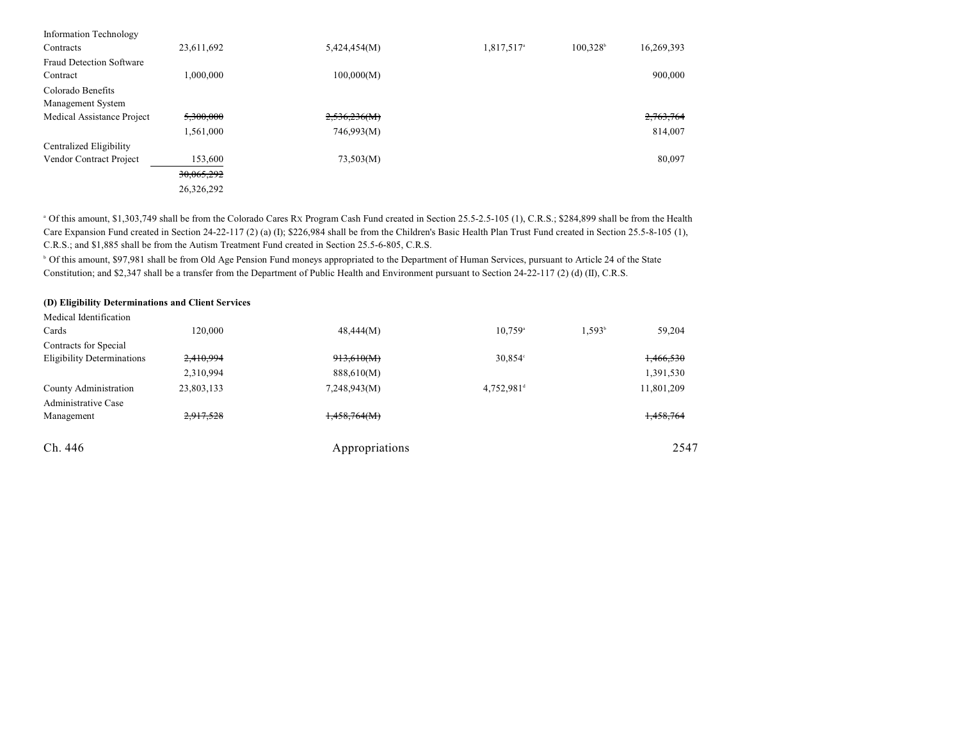| Information Technology          |            |              |                        |                                    |
|---------------------------------|------------|--------------|------------------------|------------------------------------|
| Contracts                       | 23,611,692 | 5,424,454(M) | 1,817,517 <sup>a</sup> | 100.328 <sup>b</sup><br>16,269,393 |
| <b>Fraud Detection Software</b> |            |              |                        |                                    |
| Contract                        | 1,000,000  | 100,000(M)   |                        | 900,000                            |
| Colorado Benefits               |            |              |                        |                                    |
| Management System               |            |              |                        |                                    |
| Medical Assistance Project      | 5,300,000  | 2,536,236(M) |                        | 2,763,764                          |
|                                 | 1,561,000  | 746,993(M)   |                        | 814.007                            |
| Centralized Eligibility         |            |              |                        |                                    |
| Vendor Contract Project         | 153,600    | 73,503(M)    |                        | 80,097                             |
|                                 | 30,065,292 |              |                        |                                    |
|                                 | 26,326,292 |              |                        |                                    |

 Of this amount, \$1,303,749 shall be from the Colorado Cares RX Program Cash Fund created in Section 25.5-2.5-105 (1), C.R.S.; \$284,899 shall be from the Health <sup>a</sup> Care Expansion Fund created in Section 24-22-117 (2) (a) (I); \$226,984 shall be from the Children's Basic Health Plan Trust Fund created in Section 25.5-8-105 (1), C.R.S.; and \$1,885 shall be from the Autism Treatment Fund created in Section 25.5-6-805, C.R.S.

<sup>b</sup> Of this amount, \$97,981 shall be from Old Age Pension Fund moneys appropriated to the Department of Human Services, pursuant to Article 24 of the State Constitution; and \$2,347 shall be a transfer from the Department of Public Health and Environment pursuant to Section 24-22-117 (2) (d) (II), C.R.S.

#### **(D) Eligibility Determinations and Client Services**

| Medical Identification            |            |                |                        |           |            |
|-----------------------------------|------------|----------------|------------------------|-----------|------------|
| Cards                             | 120,000    | 48,444(M)      | $10.759^{\circ}$       | $1.593^b$ | 59,204     |
| Contracts for Special             |            |                |                        |           |            |
| <b>Eligibility Determinations</b> | 2,410,994  | 913,610(M)     | $30,854^{\circ}$       |           | 1,466,530  |
|                                   | 2,310,994  | 888,610(M)     |                        |           | 1,391,530  |
| County Administration             | 23,803,133 | 7,248,943(M)   | 4,752,981 <sup>d</sup> |           | 11,801,209 |
| <b>Administrative Case</b>        |            |                |                        |           |            |
| Management                        | 2,917,528  | 1,458,764(M)   |                        |           | 1,458,764  |
| Ch. 446                           |            | Appropriations |                        |           | 2547       |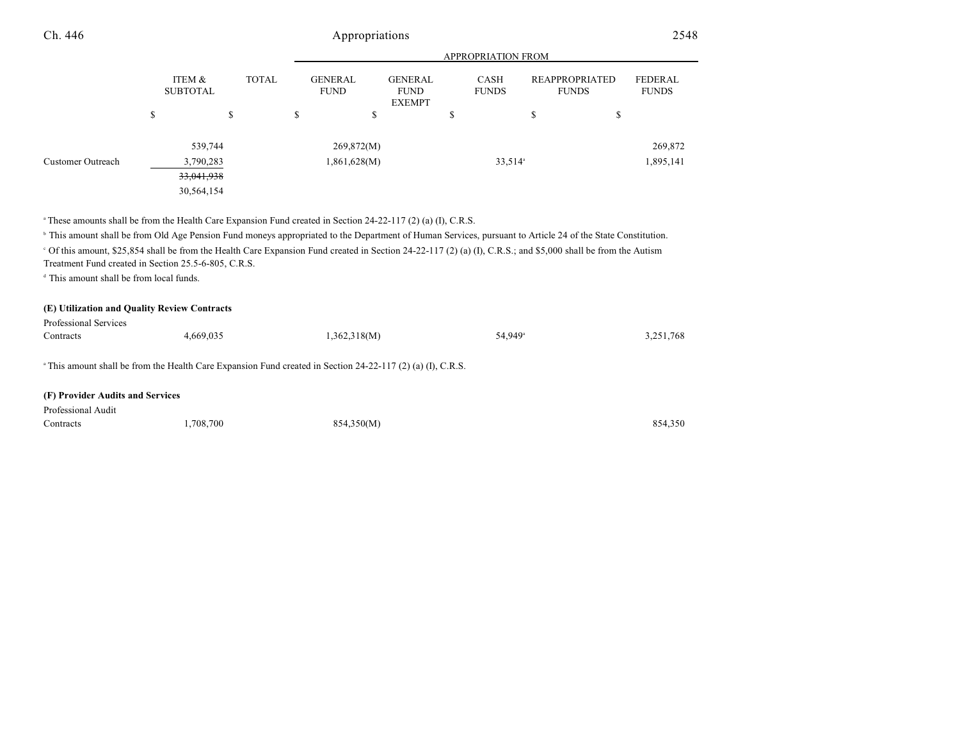|                   |                           |            |              |                                                                                 | <b>APPROPRIATION FROM</b> |                      |   |                                       |    |                         |           |
|-------------------|---------------------------|------------|--------------|---------------------------------------------------------------------------------|---------------------------|----------------------|---|---------------------------------------|----|-------------------------|-----------|
|                   | ITEM &<br><b>SUBTOTAL</b> |            | <b>TOTAL</b> | <b>GENERAL</b><br><b>GENERAL</b><br><b>FUND</b><br><b>FUND</b><br><b>EXEMPT</b> |                           | CASH<br><b>FUNDS</b> |   | <b>REAPPROPRIATED</b><br><b>FUNDS</b> |    | FEDERAL<br><b>FUNDS</b> |           |
|                   | \$                        |            | \$           | \$                                                                              |                           | \$                   | D |                                       | \$ | ¢<br>D                  |           |
|                   |                           | 539,744    |              |                                                                                 | 269,872(M)                |                      |   |                                       |    |                         | 269,872   |
| Customer Outreach |                           | 3,790,283  |              |                                                                                 | 1,861,628(M)              |                      |   | $33,514$ <sup>a</sup>                 |    |                         | 1,895,141 |
|                   |                           | 33,041,938 |              |                                                                                 |                           |                      |   |                                       |    |                         |           |
|                   |                           | 30,564,154 |              |                                                                                 |                           |                      |   |                                       |    |                         |           |

<sup>a</sup> These amounts shall be from the Health Care Expansion Fund created in Section 24-22-117 (2) (a) (I), C.R.S.

<sup>b</sup> This amount shall be from Old Age Pension Fund moneys appropriated to the Department of Human Services, pursuant to Article 24 of the State Constitution.

 Of this amount, \$25,854 shall be from the Health Care Expansion Fund created in Section 24-22-117 (2) (a) (I), C.R.S.; and \$5,000 shall be from the Autism <sup>c</sup> Treatment Fund created in Section 25.5-6-805, C.R.S.

<sup>d</sup> This amount shall be from local funds.

#### **(E) Utilization and Quality Review Contracts**

| Professional Services                                                                                                  |           |              |                     |           |  |
|------------------------------------------------------------------------------------------------------------------------|-----------|--------------|---------------------|-----------|--|
| Contracts                                                                                                              | 4.669.035 | 1,362,318(M) | 54.949 <sup>a</sup> | 3,251,768 |  |
|                                                                                                                        |           |              |                     |           |  |
| <sup>a</sup> This amount shall be from the Health Care Expansion Fund created in Section 24-22-117 (2) (a) (I), C.R.S. |           |              |                     |           |  |

#### **(F) Provider Audits and Services**

| Professional Audit |          |            |         |
|--------------------|----------|------------|---------|
| Contracts          | .708.700 | 854,350(M) | 854,350 |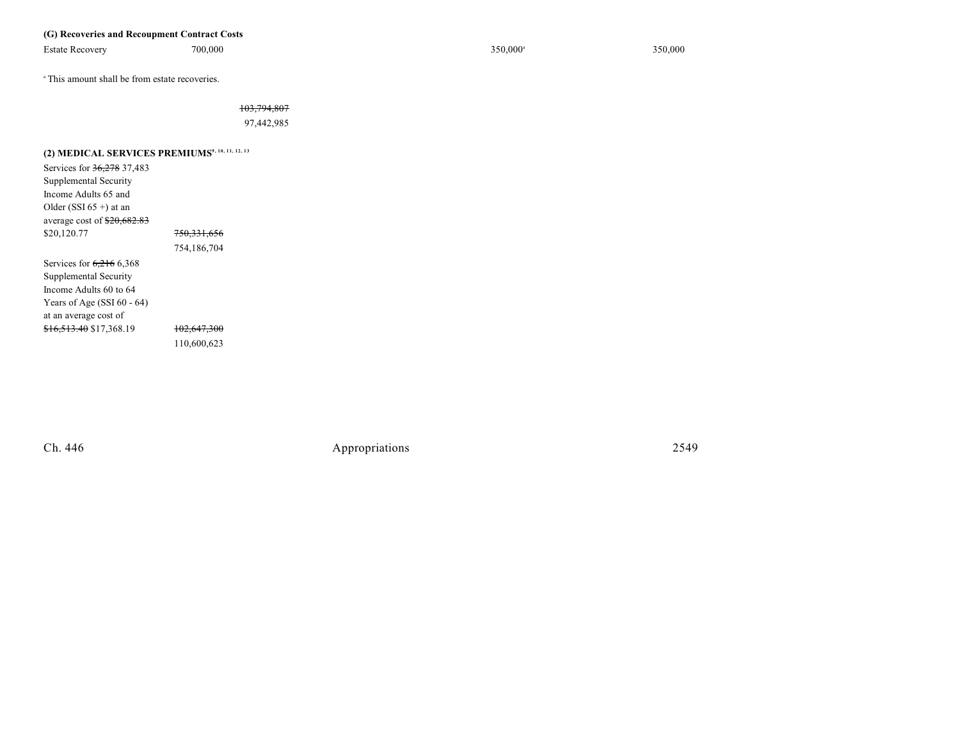### **(G) Recoveries and Recoupment Contract Costs**

Estate Recovery 700,000 700,000 700,000 350,000 350,000 350,000 350,000 350,000 350,000 350,000 350,000 350,000 350,000 350,000 350,000 350,000 350,000 350,000 350,000 350,000 350,000 350,000 350,000 350,000 350,000 350,00

<sup>a</sup> This amount shall be from estate recoveries.

103,794,807

97,442,985

| (2) MEDICAL SERVICES PREMIUMS <sup>9, 10, 11, 12, 13</sup> |                        |
|------------------------------------------------------------|------------------------|
| Services for 36,278 37,483                                 |                        |
| Supplemental Security                                      |                        |
| Income Adults 65 and                                       |                        |
| Older (SSI $65 +$ ) at an                                  |                        |
| average cost of $$20,682.83$                               |                        |
| \$20,120.77                                                | <del>750,331,656</del> |
|                                                            | 754,186,704            |
| Services for $6,216$ 6,368                                 |                        |
| Supplemental Security                                      |                        |
| Income Adults 60 to 64                                     |                        |
| Years of Age $(SSI 60 - 64)$                               |                        |
| at an average cost of                                      |                        |
| \$16,513.40 \$17,368.19                                    | <del>102.647.300</del> |
|                                                            | 110,600,623            |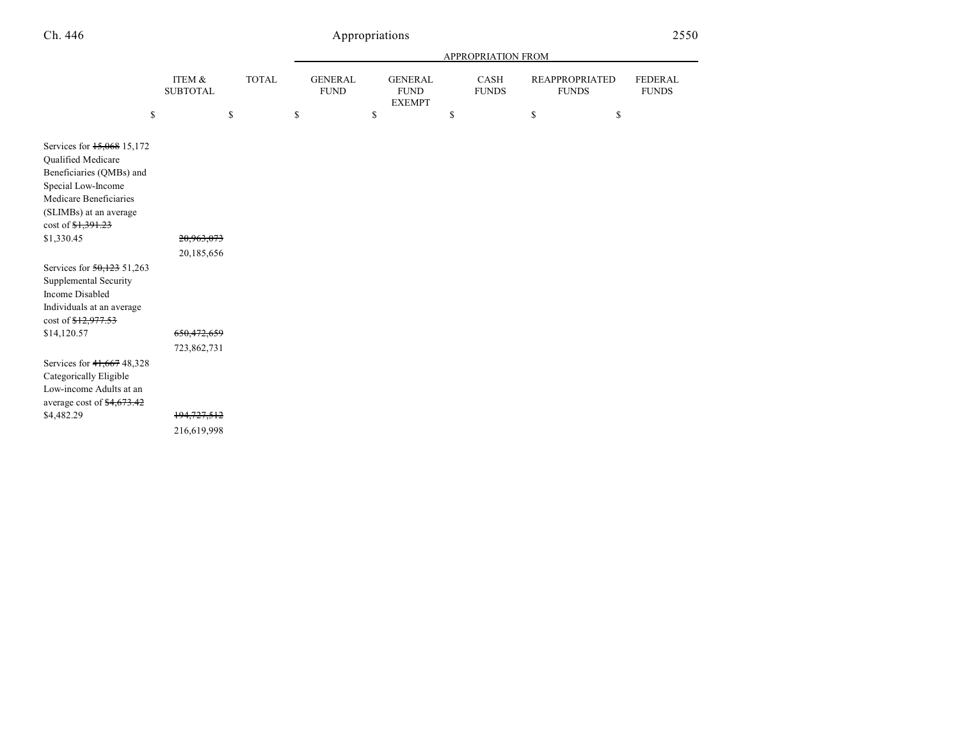|                                                                                                                                                                                                       |                                           |              |                               |                                                | <b>APPROPRIATION FROM</b> |                                       |                                |
|-------------------------------------------------------------------------------------------------------------------------------------------------------------------------------------------------------|-------------------------------------------|--------------|-------------------------------|------------------------------------------------|---------------------------|---------------------------------------|--------------------------------|
|                                                                                                                                                                                                       | ITEM &<br><b>SUBTOTAL</b>                 | <b>TOTAL</b> | <b>GENERAL</b><br><b>FUND</b> | <b>GENERAL</b><br><b>FUND</b><br><b>EXEMPT</b> | CASH<br><b>FUNDS</b>      | <b>REAPPROPRIATED</b><br><b>FUNDS</b> | <b>FEDERAL</b><br><b>FUNDS</b> |
| \$                                                                                                                                                                                                    |                                           | \$           | \$                            | \$                                             | \$                        | \$<br>\$                              |                                |
| Services for 15,068 15,172<br>Qualified Medicare<br>Beneficiaries (QMBs) and<br>Special Low-Income<br>Medicare Beneficiaries<br>(SLIMBs) at an average<br>cost of <del>\$1,391.23</del><br>\$1,330.45 | 20,963,073                                |              |                               |                                                |                           |                                       |                                |
| Services for 50,123 51,263<br>Supplemental Security<br><b>Income Disabled</b><br>Individuals at an average<br>cost of \$12,977.53<br>\$14,120.57                                                      | 20,185,656<br>650,472,659                 |              |                               |                                                |                           |                                       |                                |
| Services for 41,667 48,328<br>Categorically Eligible<br>Low-income Adults at an<br>average cost of \$4,673.42<br>\$4,482.29                                                                           | 723,862,731<br>194,727,512<br>216,619,998 |              |                               |                                                |                           |                                       |                                |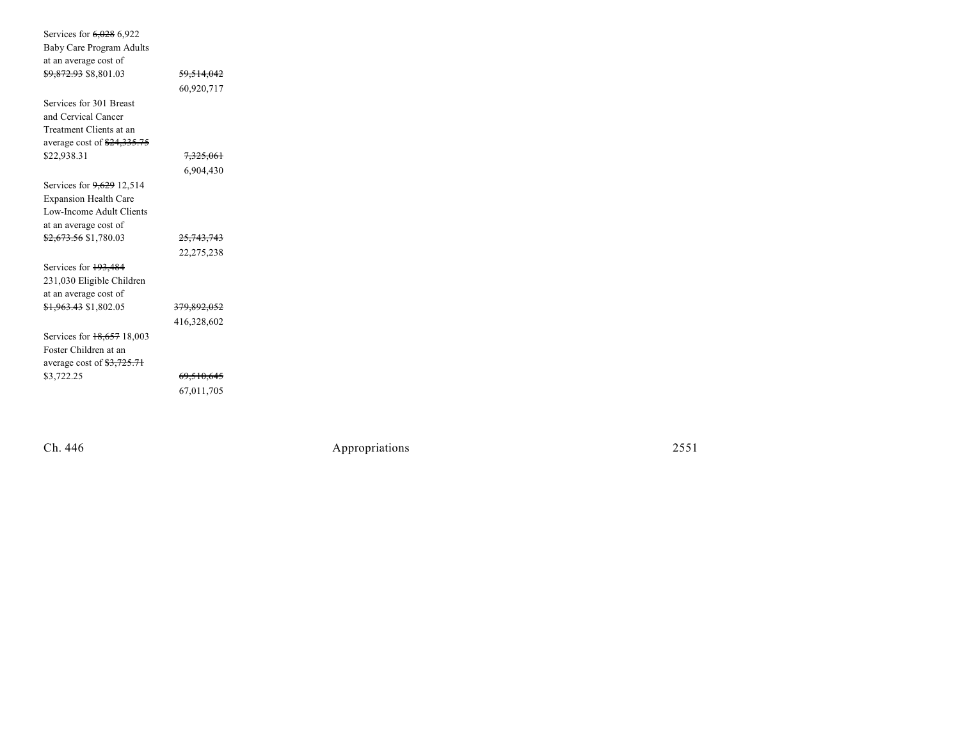| Services for 6,028 6,922                          |                        |  |
|---------------------------------------------------|------------------------|--|
| <b>Baby Care Program Adults</b>                   |                        |  |
| at an average cost of                             |                        |  |
| <del>\$9,872.93</del> \$8,801.03                  | <del>59,514,042</del>  |  |
|                                                   | 60,920,717             |  |
| Services for 301 Breast                           |                        |  |
| and Cervical Cancer                               |                        |  |
| Treatment Clients at an                           |                        |  |
| average cost of \$24,335.75                       |                        |  |
| \$22,938.31                                       | 7,325,061              |  |
|                                                   | 6,904,430              |  |
| Services for 9,629 12,514                         |                        |  |
| <b>Expansion Health Care</b>                      |                        |  |
| Low-Income Adult Clients                          |                        |  |
| at an average cost of                             |                        |  |
| <del>\$2,673.56</del> \$1,780.03                  | 25,743,743             |  |
|                                                   | 22,275,238             |  |
| Services for 193,484                              |                        |  |
| 231,030 Eligible Children                         |                        |  |
| at an average cost of                             |                        |  |
| <del>\$1,963.43</del> \$1,802.05                  | <del>379,892,052</del> |  |
|                                                   | 416,328,602            |  |
| Services for 18,657 18,003                        |                        |  |
| Foster Children at an                             |                        |  |
| average cost of $\frac{12}{3}$ , $\frac{725}{71}$ |                        |  |
| \$3,722.25                                        | <del>69,510,645</del>  |  |
|                                                   | 67,011,705             |  |
|                                                   |                        |  |

Ch. 446

Appropr iat

ions 2551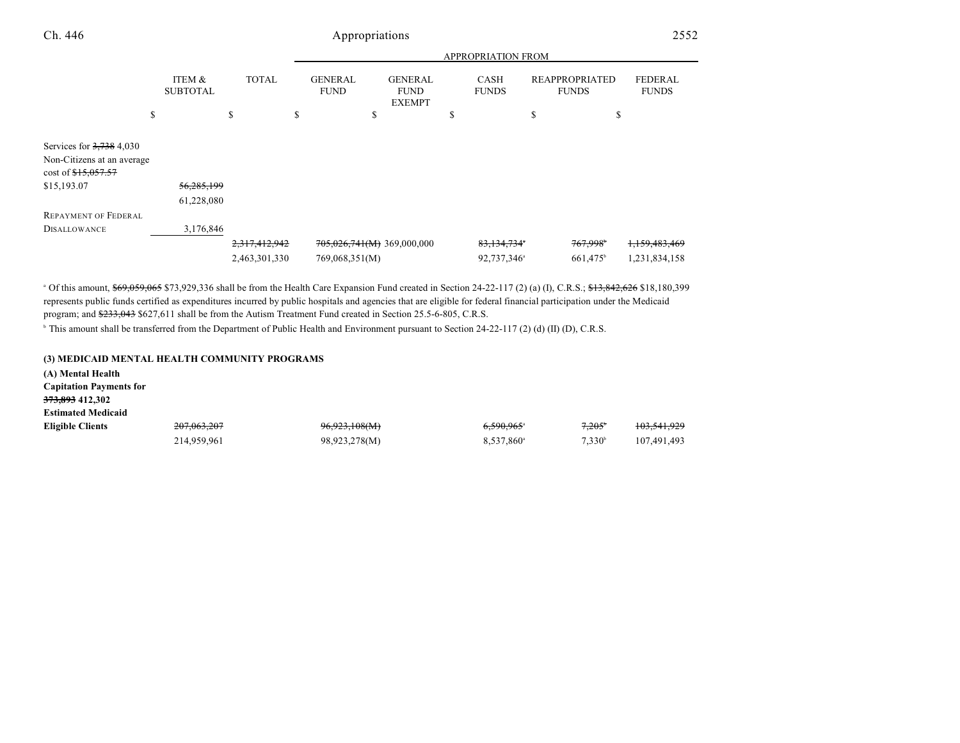|                                                                     |                           |               |   |                               |                                                | <b>APPROPRIATION FROM</b>   |                                       |                                |
|---------------------------------------------------------------------|---------------------------|---------------|---|-------------------------------|------------------------------------------------|-----------------------------|---------------------------------------|--------------------------------|
|                                                                     | ITEM &<br><b>SUBTOTAL</b> | <b>TOTAL</b>  |   | <b>GENERAL</b><br><b>FUND</b> | <b>GENERAL</b><br><b>FUND</b><br><b>EXEMPT</b> | <b>CASH</b><br><b>FUNDS</b> | <b>REAPPROPRIATED</b><br><b>FUNDS</b> | <b>FEDERAL</b><br><b>FUNDS</b> |
|                                                                     | \$                        | \$            | S |                               | \$                                             | \$                          | \$<br>\$                              |                                |
| Services for $3,738$ 4,030                                          |                           |               |   |                               |                                                |                             |                                       |                                |
| Non-Citizens at an average<br>$cost of \frac{15,057.57}{15,057.57}$ |                           |               |   |                               |                                                |                             |                                       |                                |
| \$15,193.07                                                         | 56,285,199                |               |   |                               |                                                |                             |                                       |                                |
|                                                                     | 61,228,080                |               |   |                               |                                                |                             |                                       |                                |
| <b>REPAYMENT OF FEDERAL</b>                                         |                           |               |   |                               |                                                |                             |                                       |                                |
| <b>DISALLOWANCE</b>                                                 | 3,176,846                 |               |   |                               |                                                |                             |                                       |                                |
|                                                                     |                           | 2,317,412,942 |   |                               | $705,026,741(M)$ 369,000,000                   | 83,134,734                  | 767,998 <sup>*</sup>                  | 1,159,483,469                  |
|                                                                     |                           | 2,463,301,330 |   | 769,068,351(M)                |                                                | 92,737,346 <sup>a</sup>     | 661,475 <sup>b</sup>                  | 1,231,834,158                  |

 $\degree$  Of this amount,  $$69,059,065$  \$73,929,336 shall be from the Health Care Expansion Fund created in Section 24-22-117 (2) (a) (I), C.R.S.;  $$13,842,626$  \$18,180,399 represents public funds certified as expenditures incurred by public hospitals and agencies that are eligible for federal financial participation under the Medicaid program; and \$233,043 \$627,611 shall be from the Autism Treatment Fund created in Section 25.5-6-805, C.R.S.

<sup>b</sup> This amount shall be transferred from the Department of Public Health and Environment pursuant to Section 24-22-117 (2) (d) (II) (D), C.R.S.

#### **(3) MEDICAID MENTAL HEALTH COMMUNITY PROGRAMS**

| (A) Mental Health              |             |               |                          |                 |                        |
|--------------------------------|-------------|---------------|--------------------------|-----------------|------------------------|
| <b>Capitation Payments for</b> |             |               |                          |                 |                        |
| 373,893 412,302                |             |               |                          |                 |                        |
| <b>Estimated Medicaid</b>      |             |               |                          |                 |                        |
| <b>Eligible Clients</b>        | 207,063,207 | 96,923,108(M) | $6,590,965$ <sup>a</sup> | $7.205^{\circ}$ | <del>103,541,929</del> |
|                                | 214,959,961 | 98,923,278(M) | 8,537,860 <sup>a</sup>   | $7.330^b$       | 107,491,493            |
|                                |             |               |                          |                 |                        |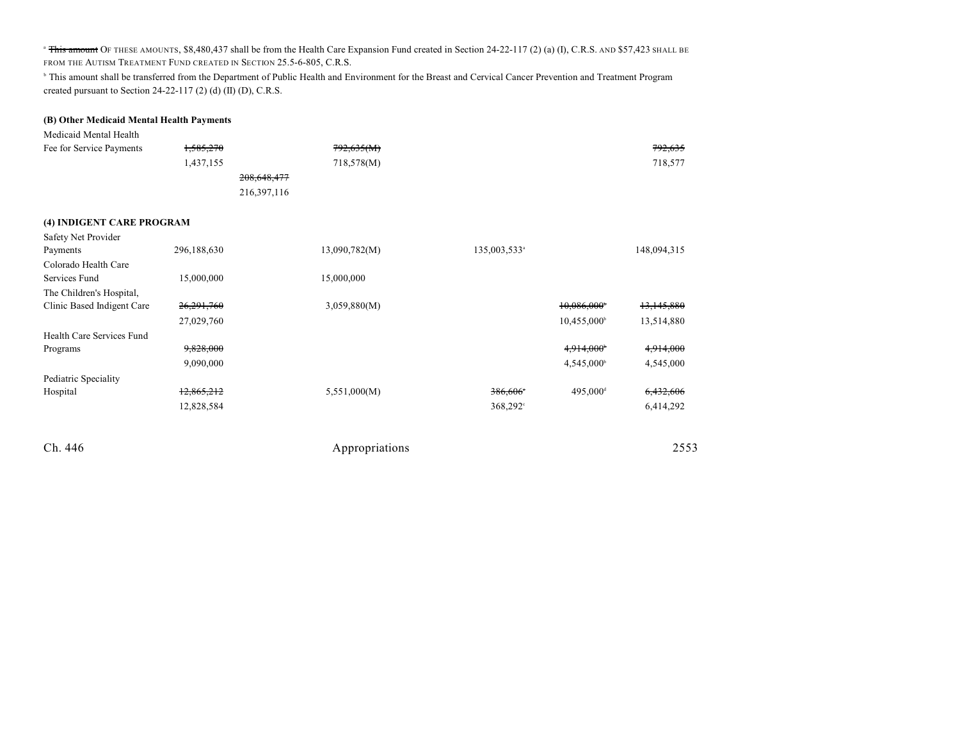<sup>a</sup> This amount OF THESE AMOUNTS, \$8,480,437 shall be from the Health Care Expansion Fund created in Section 24-22-117 (2) (a) (I), C.R.S. AND \$57,423 SHALL BE FROM THE AUTISM TREATMENT FUND CREATED IN SECTION 25.5-6-805, C.R.S.

<sup>b</sup> This amount shall be transferred from the Department of Public Health and Environment for the Breast and Cervical Cancer Prevention and Treatment Program created pursuant to Section 24-22-117 (2) (d) (II) (D), C.R.S.

#### **(B) Other Medicaid Mental Health Payments**

| Medicaid Mental Health   |                      |            |                    |
|--------------------------|----------------------|------------|--------------------|
| Fee for Service Payments | <del>1,585,270</del> | 792,635(M) | <del>792,635</del> |
|                          | 1,437,155            | 718,578(M) | 718,577            |
|                          | 208,648,477          |            |                    |
|                          | 216,397,116          |            |                    |

#### **(4) INDIGENT CARE PROGRAM**

| Safety Net Provider        |             |               |                          |                      |             |
|----------------------------|-------------|---------------|--------------------------|----------------------|-------------|
| Payments                   | 296,188,630 | 13,090,782(M) | 135,003,533 <sup>a</sup> |                      | 148,094,315 |
| Colorado Health Care       |             |               |                          |                      |             |
| Services Fund              | 15,000,000  | 15,000,000    |                          |                      |             |
| The Children's Hospital,   |             |               |                          |                      |             |
| Clinic Based Indigent Care | 26,291,760  | 3,059,880(M)  |                          | 10,086,000           | 13,145,880  |
|                            | 27,029,760  |               |                          | $10,455,000^{\circ}$ | 13,514,880  |
| Health Care Services Fund  |             |               |                          |                      |             |
| Programs                   | 9,828,000   |               |                          | 4,914,000            | 4,914,000   |
|                            | 9,090,000   |               |                          | $4,545,000^{\circ}$  | 4,545,000   |
| Pediatric Speciality       |             |               |                          |                      |             |
| Hospital                   | 12,865,212  | 5,551,000(M)  | 386,606°                 | 495,000 <sup>d</sup> | 6,432,606   |
|                            | 12,828,584  |               | $368,292^{\circ}$        |                      | 6,414,292   |
|                            |             |               |                          |                      |             |

| Ch. 446 | Appropriations | 2553 |
|---------|----------------|------|
|         |                |      |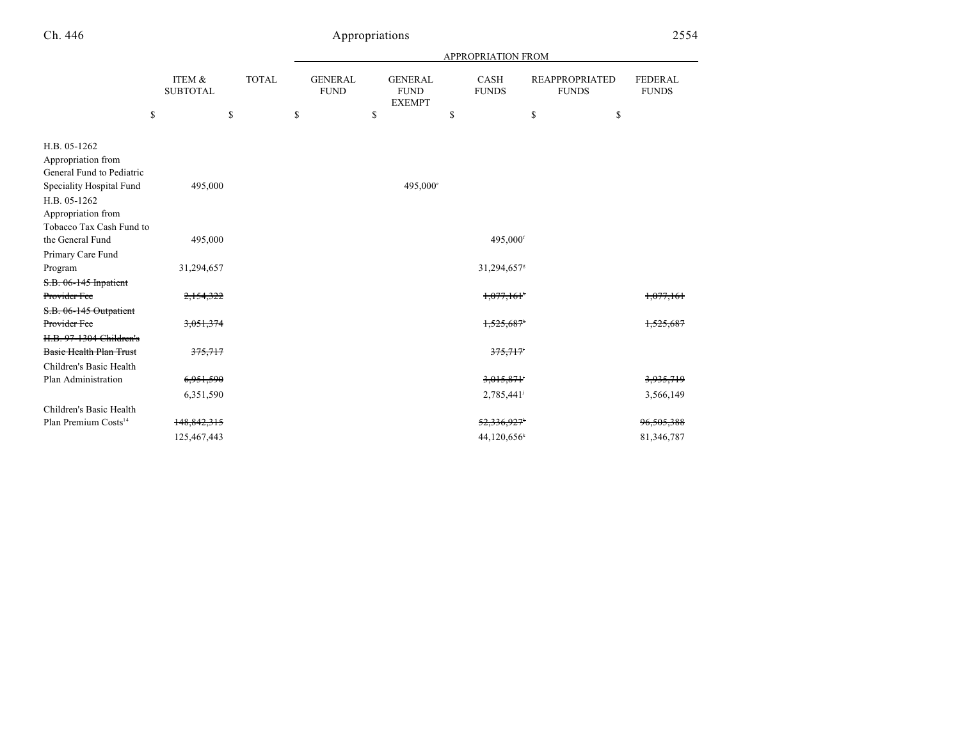|                                                                                            |                           |              |                               |                                                | APPROPRIATION FROM      |                                       |                                |
|--------------------------------------------------------------------------------------------|---------------------------|--------------|-------------------------------|------------------------------------------------|-------------------------|---------------------------------------|--------------------------------|
|                                                                                            | ITEM &<br><b>SUBTOTAL</b> | <b>TOTAL</b> | <b>GENERAL</b><br><b>FUND</b> | <b>GENERAL</b><br><b>FUND</b><br><b>EXEMPT</b> | CASH<br><b>FUNDS</b>    | <b>REAPPROPRIATED</b><br><b>FUNDS</b> | <b>FEDERAL</b><br><b>FUNDS</b> |
| \$                                                                                         |                           | \$           | \$                            | \$                                             | \$                      | \$                                    | \$                             |
| H.B. 05-1262<br>Appropriation from<br>General Fund to Pediatric                            |                           |              |                               |                                                |                         |                                       |                                |
| Speciality Hospital Fund<br>H.B. 05-1262<br>Appropriation from<br>Tobacco Tax Cash Fund to | 495,000                   |              |                               | 495,000°                                       |                         |                                       |                                |
| the General Fund                                                                           | 495,000                   |              |                               |                                                | 495,000 <sup>f</sup>    |                                       |                                |
| Primary Care Fund                                                                          |                           |              |                               |                                                |                         |                                       |                                |
| Program                                                                                    | 31,294,657                |              |                               |                                                | 31,294,657 <sup>s</sup> |                                       |                                |
| S.B. 06-145 Inpatient<br>Provider Fee                                                      | 2,154,322                 |              |                               |                                                | 1,077,161               |                                       | 1,077,161                      |
| S.B. 06-145 Outpatient                                                                     |                           |              |                               |                                                |                         |                                       |                                |
| Provider Fee                                                                               | 3,051,374                 |              |                               |                                                |                         |                                       |                                |
| <del>H.B. 97-1304 Children's</del><br><b>Basic Health Plan Trust</b>                       | 375,717                   |              |                               |                                                | 375,717                 |                                       |                                |
| Children's Basic Health                                                                    |                           |              |                               |                                                |                         |                                       |                                |
| Plan Administration                                                                        | 6,951,590                 |              |                               |                                                | 3,015,871               |                                       | 3,935,719                      |
|                                                                                            | 6,351,590                 |              |                               |                                                | 2,785,441               |                                       | 3,566,149                      |
| Children's Basic Health                                                                    |                           |              |                               |                                                |                         |                                       |                                |
| Plan Premium Costs <sup>14</sup>                                                           | 148,842,315               |              |                               |                                                | 52,336,927              |                                       | 96,505,388                     |
|                                                                                            | 125,467,443               |              |                               |                                                | $44,120,656^k$          |                                       | 81,346,787                     |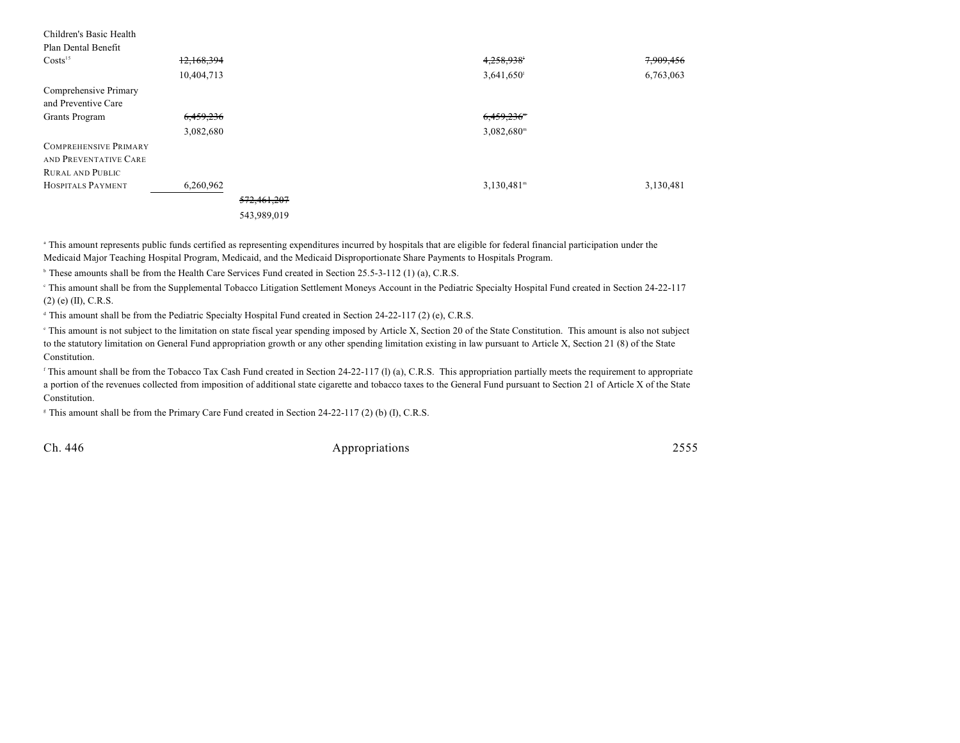| Children's Basic Health<br>Plan Dental Benefit        |            |             |                          |           |
|-------------------------------------------------------|------------|-------------|--------------------------|-----------|
| Costs <sup>15</sup>                                   | 12,168,394 |             | 4,258,938                | 7,909,456 |
|                                                       | 10,404,713 |             | 3,641,650                | 6,763,063 |
| Comprehensive Primary                                 |            |             |                          |           |
| and Preventive Care                                   |            |             |                          |           |
| Grants Program                                        | 6,459,236  |             | 6,459,236                |           |
|                                                       | 3,082,680  |             | $3,082,680$ <sup>m</sup> |           |
| <b>COMPREHENSIVE PRIMARY</b><br>AND PREVENTATIVE CARE |            |             |                          |           |
| <b>RURAL AND PUBLIC</b>                               |            |             |                          |           |
| HOSPITALS PAYMENT                                     | 6,260,962  |             | $3,130,481$ <sup>m</sup> | 3,130,481 |
|                                                       |            | 572,461,207 |                          |           |
|                                                       |            | 543,989,019 |                          |           |

<sup>a</sup> This amount represents public funds certified as representing expenditures incurred by hospitals that are eligible for federal financial participation under the Medicaid Major Teaching Hospital Program, Medicaid, and the Medicaid Disproportionate Share Payments to Hospitals Program.

<sup>b</sup> These amounts shall be from the Health Care Services Fund created in Section 25.5-3-112 (1) (a), C.R.S.

 This amount shall be from the Supplemental Tobacco Litigation Settlement Moneys Account in the Pediatric Specialty Hospital Fund created in Section 24-22-117 <sup>c</sup> (2) (e) (II), C.R.S.

 $\alpha$ <sup>4</sup> This amount shall be from the Pediatric Specialty Hospital Fund created in Section 24-22-117 (2) (e), C.R.S.

<sup>e</sup> This amount is not subject to the limitation on state fiscal year spending imposed by Article X, Section 20 of the State Constitution. This amount is also not subject to the statutory limitation on General Fund appropriation growth or any other spending limitation existing in law pursuant to Article X, Section 21 (8) of the State Constitution.

<sup>f</sup> This amount shall be from the Tobacco Tax Cash Fund created in Section 24-22-117 (l) (a), C.R.S. This appropriation partially meets the requirement to appropriate a portion of the revenues collected from imposition of additional state cigarette and tobacco taxes to the General Fund pursuant to Section 21 of Article X of the State Constitution.

 $\textdegree$  This amount shall be from the Primary Care Fund created in Section 24-22-117 (2) (b) (I), C.R.S.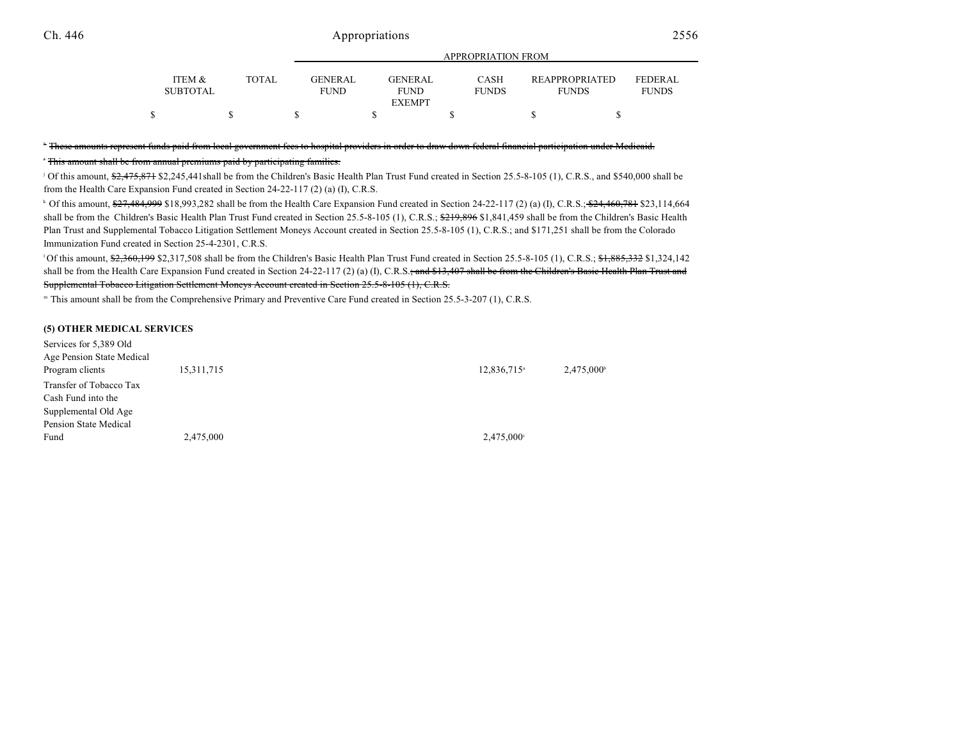|                           |              |                               |                               | $\cdots$             |                                       |                                |
|---------------------------|--------------|-------------------------------|-------------------------------|----------------------|---------------------------------------|--------------------------------|
| ITEM &<br><b>SUBTOTAL</b> | <b>TOTAL</b> | <b>GENERAL</b><br><b>FUND</b> | <b>GENERAL</b><br><b>FUND</b> | CASH<br><b>FUNDS</b> | <b>REAPPROPRIATED</b><br><b>FUNDS</b> | <b>FEDERAL</b><br><b>FUNDS</b> |
|                           |              |                               | <b>EXEMPT</b>                 |                      |                                       |                                |
|                           |              |                               |                               |                      |                                       |                                |

APPROPRIATION FROM

#### " These amounts represent funds paid from local government fees to hospital providers in order to draw down federal financial participation under Medicaid.

This amount shall be from annual premiums paid by participating families. <sup>i</sup>

<sup>j</sup> Of this amount,  $\frac{62.475.871}{2.245.441}$  \$2.245.441shall be from the Children's Basic Health Plan Trust Fund created in Section 25.5-8-105 (1), C.R.S., and \$540,000 shall be from the Health Care Expansion Fund created in Section 24-22-117 (2) (a) (I), C.R.S.

<sup>k</sup> Of this amount,  $\frac{627,484,999}{2}$  \$18,993,282 shall be from the Health Care Expansion Fund created in Section 24-22-117 (2) (a) (I), C.R.S.;  $\frac{624,460,781}{2}$  \$23,114,664 shall be from the Children's Basic Health Plan Trust Fund created in Section 25.5-8-105 (1), C.R.S.; \$219,896 \$1,841,459 shall be from the Children's Basic Health Plan Trust and Supplemental Tobacco Litigation Settlement Moneys Account created in Section 25.5-8-105 (1), C.R.S.; and \$171,251 shall be from the Colorado Immunization Fund created in Section 25-4-2301, C.R.S.

<sup>1</sup>Of this amount,  $\frac{62,360,199}{2,317,508}$  shall be from the Children's Basic Health Plan Trust Fund created in Section 25.5-8-105 (1), C.R.S.;  $\frac{61,885,332}{1,324,142}$ shall be from the Health Care Expansion Fund created in Section 24-22-117 (2) (a) (I), C.R.S.; and \$13,407 shall be from the Children's Basic Health Plan Trust and Supplemental Tobacco Litigation Settlement Moneys Account created in Section 25.5-8-105 (1), C.R.S.

" This amount shall be from the Comprehensive Primary and Preventive Care Fund created in Section 25.5-3-207 (1), C.R.S.

#### **(5) OTHER MEDICAL SERVICES**

| Services for 5,389 Old    |            |                         |                     |
|---------------------------|------------|-------------------------|---------------------|
| Age Pension State Medical |            |                         |                     |
| Program clients           | 15,311,715 | 12,836,715 <sup>a</sup> | $2,475,000^{\circ}$ |
| Transfer of Tobacco Tax   |            |                         |                     |
| Cash Fund into the        |            |                         |                     |
| Supplemental Old Age      |            |                         |                     |
| Pension State Medical     |            |                         |                     |
| Fund                      | 2,475,000  | $2,475,000^{\circ}$     |                     |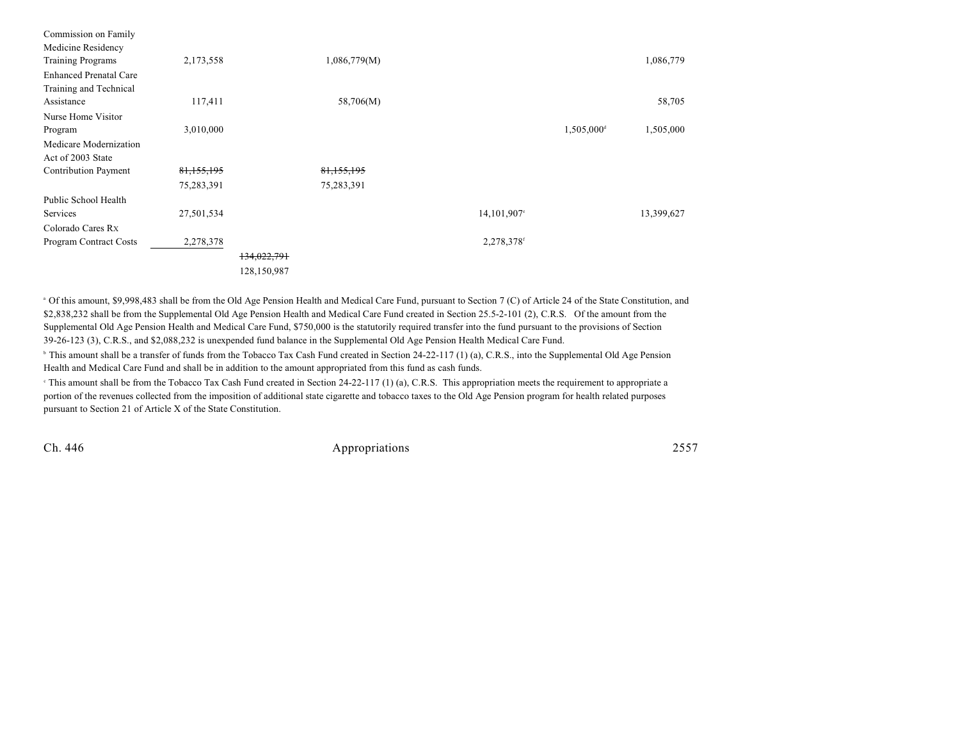| Commission on Family          |            |             |              |             |                        |            |
|-------------------------------|------------|-------------|--------------|-------------|------------------------|------------|
| Medicine Residency            |            |             |              |             |                        |            |
| <b>Training Programs</b>      | 2,173,558  |             | 1,086,779(M) |             |                        | 1,086,779  |
| <b>Enhanced Prenatal Care</b> |            |             |              |             |                        |            |
| Training and Technical        |            |             |              |             |                        |            |
| Assistance                    | 117,411    |             | 58,706(M)    |             |                        | 58,705     |
| Nurse Home Visitor            |            |             |              |             |                        |            |
| Program                       | 3,010,000  |             |              |             | 1,505,000 <sup>d</sup> | 1,505,000  |
| Medicare Modernization        |            |             |              |             |                        |            |
| Act of 2003 State             |            |             |              |             |                        |            |
| <b>Contribution Payment</b>   | 81,155,195 |             | 81,155,195   |             |                        |            |
|                               | 75,283,391 |             | 75,283,391   |             |                        |            |
| Public School Health          |            |             |              |             |                        |            |
| Services                      | 27,501,534 |             |              | 14,101,907° |                        | 13,399,627 |
| Colorado Cares Rx             |            |             |              |             |                        |            |
| Program Contract Costs        | 2,278,378  |             |              | 2,278,378f  |                        |            |
|                               |            | 134,022,791 |              |             |                        |            |
|                               |            | 128,150,987 |              |             |                        |            |
|                               |            |             |              |             |                        |            |

 $^{\circ}$  Of this amount, \$9,998,483 shall be from the Old Age Pension Health and Medical Care Fund, pursuant to Section 7 (C) of Article 24 of the State Constitution, and \$2,838,232 shall be from the Supplemental Old Age Pension Health and Medical Care Fund created in Section 25.5-2-101 (2), C.R.S. Of the amount from the Supplemental Old Age Pension Health and Medical Care Fund, \$750,000 is the statutorily required transfer into the fund pursuant to the provisions of Section 39-26-123 (3), C.R.S., and \$2,088,232 is unexpended fund balance in the Supplemental Old Age Pension Health Medical Care Fund.

<sup>b</sup> This amount shall be a transfer of funds from the Tobacco Tax Cash Fund created in Section 24-22-117 (1) (a), C.R.S., into the Supplemental Old Age Pension Health and Medical Care Fund and shall be in addition to the amount appropriated from this fund as cash funds.

 $\degree$  This amount shall be from the Tobacco Tax Cash Fund created in Section 24-22-117 (1) (a), C.R.S. This appropriation meets the requirement to appropriate a portion of the revenues collected from the imposition of additional state cigarette and tobacco taxes to the Old Age Pension program for health related purposes pursuant to Section 21 of Article X of the State Constitution.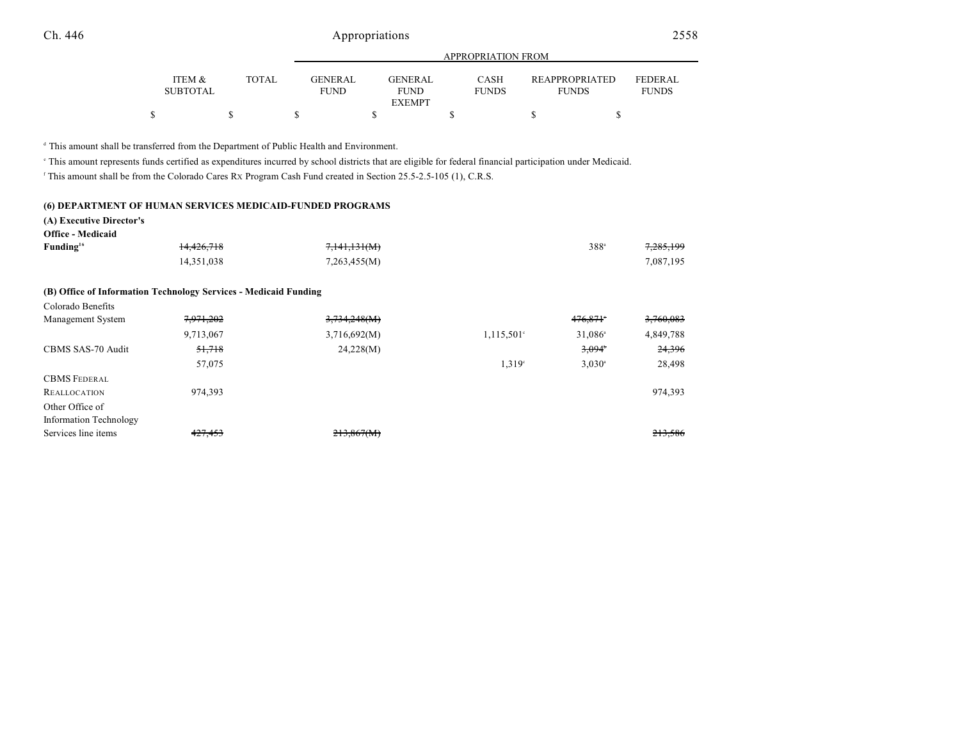|                           |       |                               | APPROPRIATION FROM     |                             |                                       |                                |  |  |
|---------------------------|-------|-------------------------------|------------------------|-----------------------------|---------------------------------------|--------------------------------|--|--|
| ITEM &<br><b>SUBTOTAL</b> | TOTAL | <b>GENERAL</b><br><b>FUND</b> | GENERAL<br><b>FUND</b> | <b>CASH</b><br><b>FUNDS</b> | <b>REAPPROPRIATED</b><br><b>FUNDS</b> | <b>FEDERAL</b><br><b>FUNDS</b> |  |  |
|                           |       |                               | <b>EXEMPT</b>          |                             |                                       |                                |  |  |
|                           |       |                               |                        |                             |                                       |                                |  |  |

<sup>d</sup> This amount shall be transferred from the Department of Public Health and Environment.

This amount represents funds certified as expenditures incurred by school districts that are eligible for federal financial participation under Medicaid. <sup>e</sup>

In This amount shall be from the Colorado Cares Rx Program Cash Fund created in Section 25.5-2.5-105 (1), C.R.S.

#### **(6) DEPARTMENT OF HUMAN SERVICES MEDICAID-FUNDED PROGRAMS**

#### **(A) Executive Director's**

| <b>Office - Medicaid</b> |                       |                         |               |           |
|--------------------------|-----------------------|-------------------------|---------------|-----------|
| Funding <sup>16</sup>    | <del>14,426,718</del> | <del>7,141,131(M)</del> | $388^{\circ}$ | 7,285,199 |
|                          | 14.351.038            | 7,263,455(M)            |               | 7.087.195 |

#### **(B) Office of Information Technology Services - Medicaid Funding**

| Colorado Benefits      |           |              |                     |                  |           |
|------------------------|-----------|--------------|---------------------|------------------|-----------|
| Management System      | 7,971,202 | 3,734,248(M) |                     | $476,871$ *      | 3,760,083 |
|                        | 9,713,067 | 3,716,692(M) | $1,115,501^{\circ}$ | $31,086^{\circ}$ | 4,849,788 |
| CBMS SAS-70 Audit      | 51,718    | 24,228(M)    |                     | 3,094            | 24,396    |
|                        | 57,075    |              | 1.319 <sup>c</sup>  | $3,030^{\circ}$  | 28,498    |
| <b>CBMS FEDERAL</b>    |           |              |                     |                  |           |
| <b>REALLOCATION</b>    | 974,393   |              |                     |                  | 974,393   |
| Other Office of        |           |              |                     |                  |           |
| Information Technology |           |              |                     |                  |           |
| Services line items    | 427,453   | 213,867(M)   |                     |                  | 213,586   |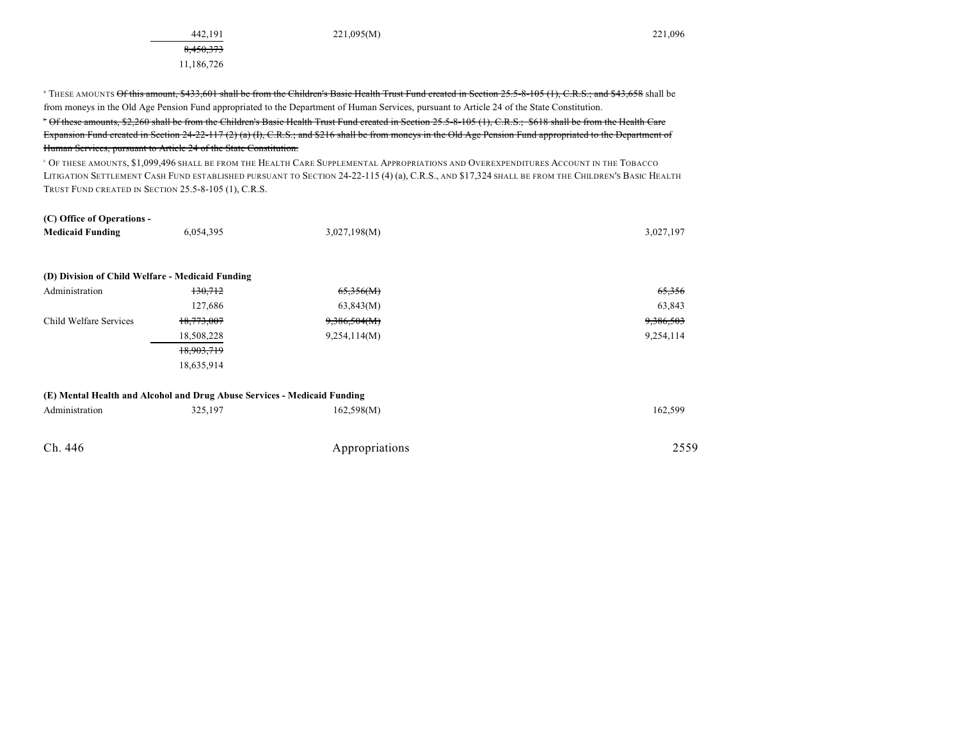442,191 221,095(M) 221,096

|                                                  |                                                                          | <sup>a</sup> THESE AMOUNTS Of this amount, \$433,601 shall be from the Children's Basic Health Trust Fund created in Section 25.5-8-105 (1), C.R.S.; and \$43,658 shall be |                      |
|--------------------------------------------------|--------------------------------------------------------------------------|----------------------------------------------------------------------------------------------------------------------------------------------------------------------------|----------------------|
|                                                  |                                                                          | from moneys in the Old Age Pension Fund appropriated to the Department of Human Services, pursuant to Article 24 of the State Constitution.                                |                      |
|                                                  |                                                                          | <sup>*</sup> Of these amounts, \$2,260 shall be from the Children's Basic Health Trust Fund created in Section 25.5-8-105 (1), C.R.S.; \$618 shall be from the Health Care |                      |
|                                                  |                                                                          | Expansion Fund created in Section $24-22-117(2)(a)(f)$ , C.R.S.; and \$216 shall be from moneys in the Old Age Pension Fund appropriated to the Department of              |                      |
|                                                  | Human Services, pursuant to Article 24 of the State Constitution.        |                                                                                                                                                                            |                      |
|                                                  |                                                                          | <sup>c</sup> Of these amounts, \$1,099,496 shall be from the Health Care Supplemental Appropriations and Overexpenditures Account in the Tobacco                           |                      |
|                                                  |                                                                          | LITIGATION SETTLEMENT CASH FUND ESTABLISHED PURSUANT TO SECTION 24-22-115 (4) (a), C.R.S., AND \$17,324 SHALL BE FROM THE CHILDREN'S BASIC HEALTH                          |                      |
|                                                  | TRUST FUND CREATED IN SECTION 25.5-8-105 (1), C.R.S.                     |                                                                                                                                                                            |                      |
| (C) Office of Operations -                       |                                                                          |                                                                                                                                                                            |                      |
| <b>Medicaid Funding</b>                          | 6.054.395                                                                | 3,027,198(M)                                                                                                                                                               | 3,027,197            |
| (D) Division of Child Welfare - Medicaid Funding |                                                                          |                                                                                                                                                                            |                      |
| Administration                                   | 130.712                                                                  | 65,356(M)                                                                                                                                                                  | 65,356               |
|                                                  | 127,686                                                                  | 63,843(M)                                                                                                                                                                  | 63,843               |
| Child Welfare Services                           | 18,773,007                                                               | 9,386,504(M)                                                                                                                                                               | <del>9,386,503</del> |
|                                                  | 18,508,228                                                               | 9,254,114(M)                                                                                                                                                               | 9,254,114            |
|                                                  | 18.903.719                                                               |                                                                                                                                                                            |                      |
|                                                  | 18,635,914                                                               |                                                                                                                                                                            |                      |
|                                                  | (E) Mental Health and Alcohol and Drug Abuse Services - Medicaid Funding |                                                                                                                                                                            |                      |
| Administration                                   | 325,197                                                                  | 162,598(M)                                                                                                                                                                 | 162,599              |
| Ch. 446                                          |                                                                          | Appropriations                                                                                                                                                             | 2559                 |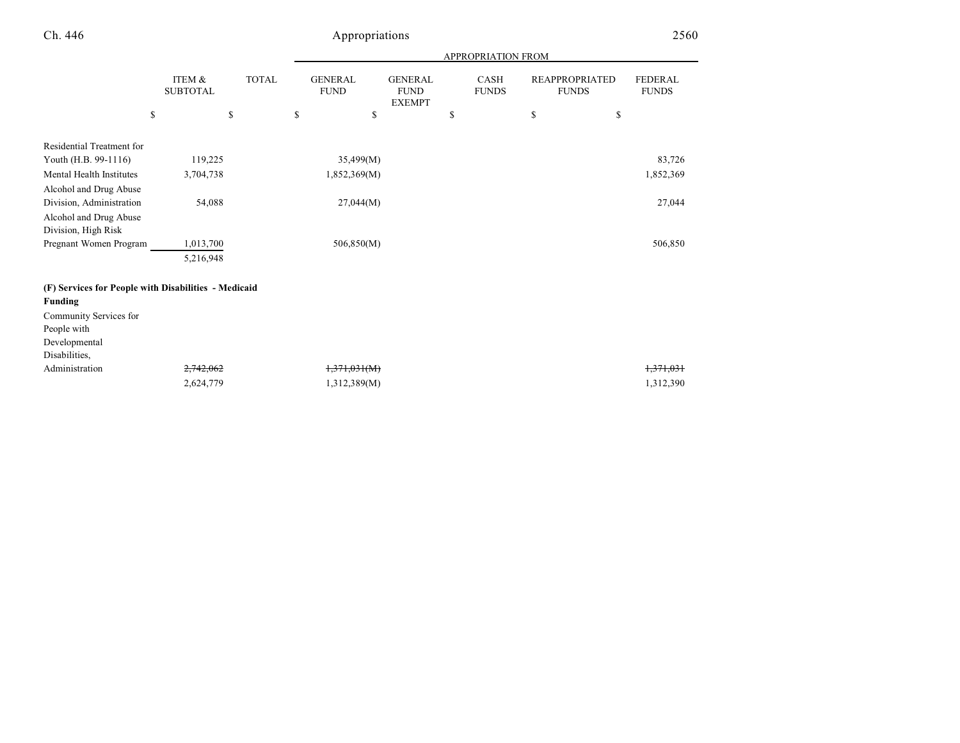|                                                      |                           |              |    | <b>APPROPRIATION FROM</b>     |                                                |    |                             |    |                                       |                                |
|------------------------------------------------------|---------------------------|--------------|----|-------------------------------|------------------------------------------------|----|-----------------------------|----|---------------------------------------|--------------------------------|
|                                                      | ITEM &<br><b>SUBTOTAL</b> | <b>TOTAL</b> |    | <b>GENERAL</b><br><b>FUND</b> | <b>GENERAL</b><br><b>FUND</b><br><b>EXEMPT</b> |    | <b>CASH</b><br><b>FUNDS</b> |    | <b>REAPPROPRIATED</b><br><b>FUNDS</b> | <b>FEDERAL</b><br><b>FUNDS</b> |
|                                                      | \$                        | \$           | \$ | \$                            |                                                | \$ |                             | \$ | \$                                    |                                |
| Residential Treatment for                            |                           |              |    |                               |                                                |    |                             |    |                                       |                                |
| Youth (H.B. 99-1116)                                 | 119,225                   |              |    | 35,499(M)                     |                                                |    |                             |    |                                       | 83,726                         |
| Mental Health Institutes                             | 3,704,738                 |              |    | 1,852,369(M)                  |                                                |    |                             |    |                                       | 1,852,369                      |
| Alcohol and Drug Abuse                               |                           |              |    |                               |                                                |    |                             |    |                                       |                                |
| Division, Administration                             | 54,088                    |              |    | 27,044(M)                     |                                                |    |                             |    |                                       | 27,044                         |
| Alcohol and Drug Abuse<br>Division, High Risk        |                           |              |    |                               |                                                |    |                             |    |                                       |                                |
| Pregnant Women Program                               | 1,013,700                 |              |    | 506,850(M)                    |                                                |    |                             |    |                                       | 506,850                        |
|                                                      | 5,216,948                 |              |    |                               |                                                |    |                             |    |                                       |                                |
| (F) Services for People with Disabilities - Medicaid |                           |              |    |                               |                                                |    |                             |    |                                       |                                |
| <b>Funding</b>                                       |                           |              |    |                               |                                                |    |                             |    |                                       |                                |
| Community Services for                               |                           |              |    |                               |                                                |    |                             |    |                                       |                                |
| People with                                          |                           |              |    |                               |                                                |    |                             |    |                                       |                                |
| Developmental                                        |                           |              |    |                               |                                                |    |                             |    |                                       |                                |
| Disabilities,                                        |                           |              |    |                               |                                                |    |                             |    |                                       |                                |
| Administration                                       | 2,742,062                 |              |    | 1,371,031(M)                  |                                                |    |                             |    |                                       | 1,371,031                      |
|                                                      | 2,624,779                 |              |    | 1,312,389(M)                  |                                                |    |                             |    |                                       | 1,312,390                      |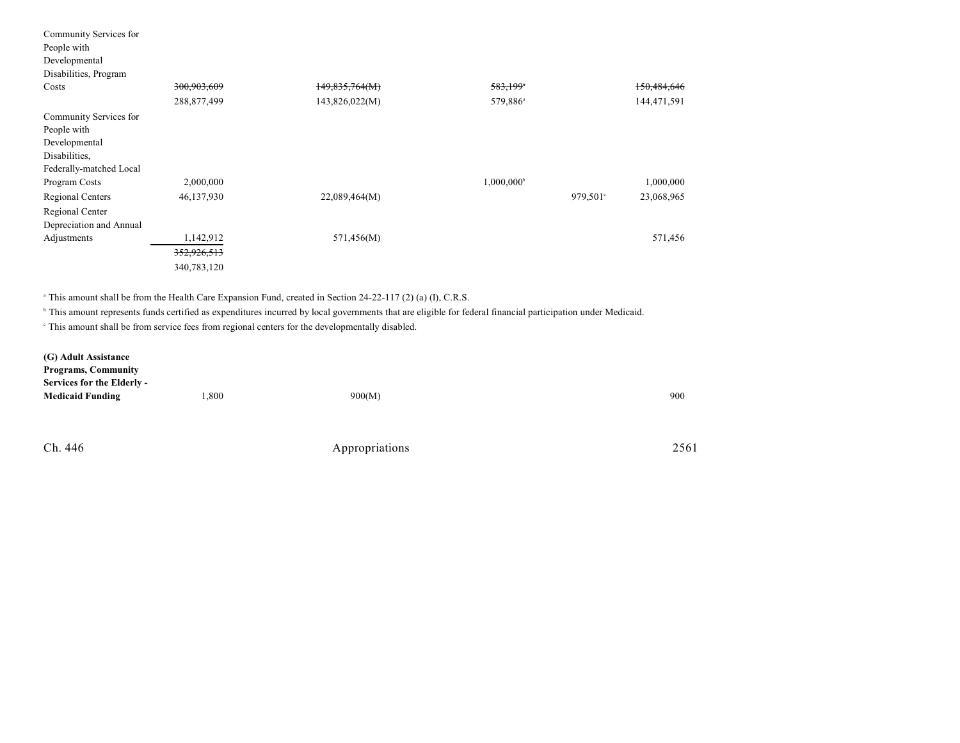| 300,903,609 | 149,835,764(M) | 583,199                |             | 150,484,646 |
|-------------|----------------|------------------------|-------------|-------------|
| 288,877,499 | 143,826,022(M) | 579,886 <sup>a</sup>   |             | 144,471,591 |
|             |                |                        |             |             |
|             |                |                        |             |             |
|             |                |                        |             |             |
|             |                |                        |             |             |
|             |                |                        |             |             |
| 2,000,000   |                | 1,000,000 <sup>b</sup> |             | 1,000,000   |
| 46,137,930  | 22,089,464(M)  |                        | $979,501$ ° | 23,068,965  |
|             |                |                        |             |             |
|             |                |                        |             |             |
| 1,142,912   | 571,456(M)     |                        |             | 571,456     |
| 352,926,513 |                |                        |             |             |
| 340,783,120 |                |                        |             |             |
|             |                |                        |             |             |

<sup>a</sup> This amount shall be from the Health Care Expansion Fund, created in Section 24-22-117 (2) (a) (I), C.R.S.

<sup>b</sup> This amount represents funds certified as expenditures incurred by local governments that are eligible for federal financial participation under Medicaid.

This amount shall be from service fees from regional centers for the developmentally disabled. <sup>c</sup>

| (G) Adult Assistance       |      |        |     |
|----------------------------|------|--------|-----|
| <b>Programs, Community</b> |      |        |     |
| Services for the Elderly - |      |        |     |
| <b>Medicaid Funding</b>    | .800 | 900(M) | 900 |
|                            |      |        |     |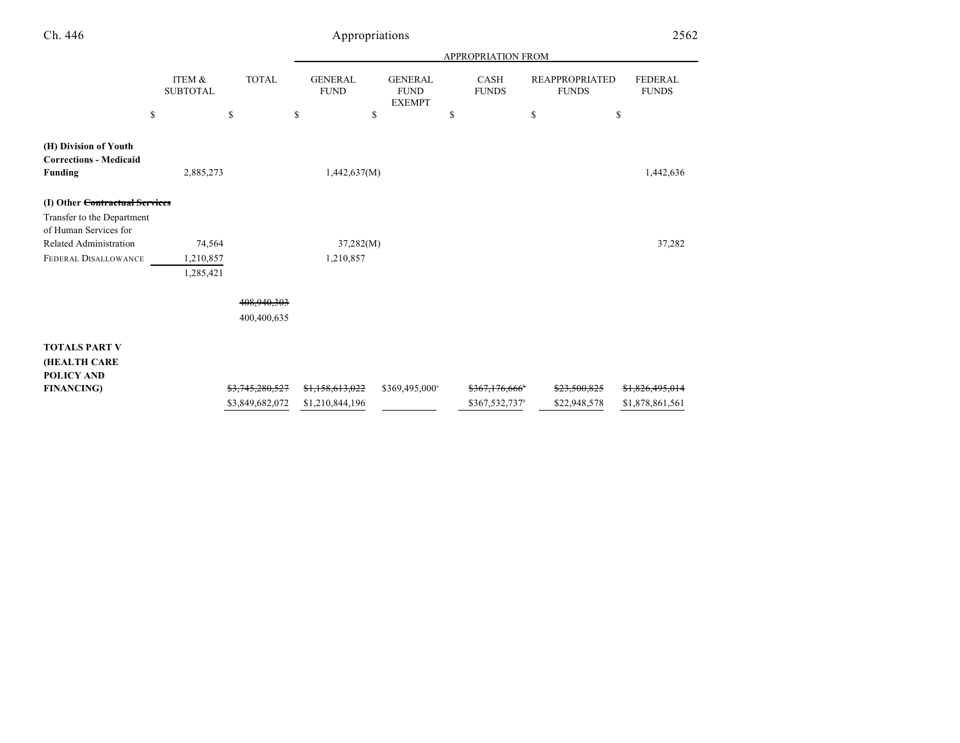|                                                                          |                           |                            |                               |                                                | <b>APPROPRIATION FROM</b>   |                                       |                                |
|--------------------------------------------------------------------------|---------------------------|----------------------------|-------------------------------|------------------------------------------------|-----------------------------|---------------------------------------|--------------------------------|
|                                                                          | ITEM &<br><b>SUBTOTAL</b> | <b>TOTAL</b>               | <b>GENERAL</b><br><b>FUND</b> | <b>GENERAL</b><br><b>FUND</b><br><b>EXEMPT</b> | <b>CASH</b><br><b>FUNDS</b> | <b>REAPPROPRIATED</b><br><b>FUNDS</b> | <b>FEDERAL</b><br><b>FUNDS</b> |
| $\mathbf S$                                                              |                           | $\mathbf S$                | \$<br>\$                      |                                                | S                           | \$<br>\$                              |                                |
| (H) Division of Youth<br><b>Corrections - Medicaid</b><br><b>Funding</b> | 2,885,273                 |                            | 1,442,637(M)                  |                                                |                             |                                       | 1,442,636                      |
| (I) Other Contractual Services                                           |                           |                            |                               |                                                |                             |                                       |                                |
| Transfer to the Department<br>of Human Services for                      |                           |                            |                               |                                                |                             |                                       |                                |
| Related Administration                                                   | 74,564                    |                            | 37,282(M)                     |                                                |                             |                                       | 37,282                         |
| FEDERAL DISALLOWANCE                                                     | 1,210,857                 |                            | 1,210,857                     |                                                |                             |                                       |                                |
|                                                                          | 1,285,421                 |                            |                               |                                                |                             |                                       |                                |
|                                                                          |                           | 408,940,303<br>400,400,635 |                               |                                                |                             |                                       |                                |
| <b>TOTALS PART V</b><br>(HEALTH CARE<br><b>POLICY AND</b>                |                           |                            |                               |                                                |                             |                                       |                                |
| <b>FINANCING)</b>                                                        |                           | \$3,745,280,527            | \$1,158,613,022               | \$369,495,000 <sup>a</sup>                     | \$367,176,666               | \$23,500,825                          | \$1,826,495,014                |
|                                                                          |                           | \$3,849,682,072            | \$1,210,844,196               |                                                | \$367,532,737 <sup>b</sup>  | \$22,948,578                          | \$1,878,861,561                |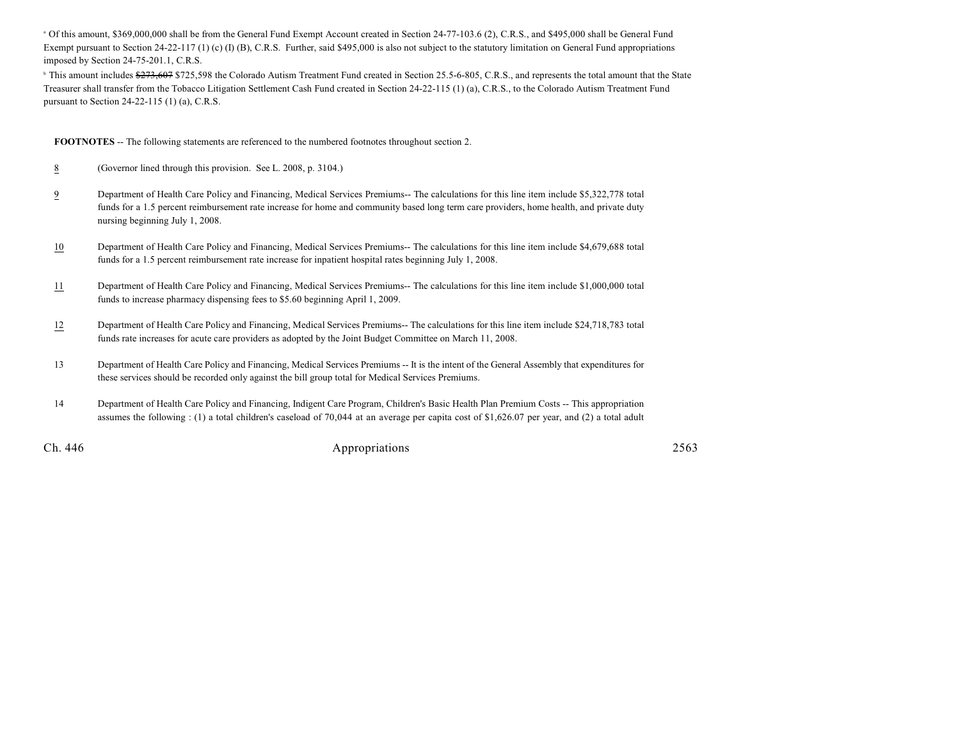<sup>a</sup> Of this amount, \$369,000,000 shall be from the General Fund Exempt Account created in Section 24-77-103.6 (2), C.R.S., and \$495,000 shall be General Fund Exempt pursuant to Section 24-22-117 (1) (c) (I) (B), C.R.S. Further, said \$495,000 is also not subject to the statutory limitation on General Fund appropriations imposed by Section 24-75-201.1, C.R.S.

<sup>b</sup> This amount includes \$273,607 \$725,598 the Colorado Autism Treatment Fund created in Section 25.5-6-805, C.R.S., and represents the total amount that the State Treasurer shall transfer from the Tobacco Litigation Settlement Cash Fund created in Section 24-22-115 (1) (a), C.R.S., to the Colorado Autism Treatment Fund pursuant to Section 24-22-115 (1) (a), C.R.S.

**FOOTNOTES** -- The following statements are referenced to the numbered footnotes throughout section 2.

- 8 (Governor lined through this provision. See L. 2008, p. 3104.)
- 9 Department of Health Care Policy and Financing, Medical Services Premiums-- The calculations for this line item include \$5,322,778 total funds for a 1.5 percent reimbursement rate increase for home and community based long term care providers, home health, and private duty nursing beginning July 1, 2008.
- 10 Department of Health Care Policy and Financing, Medical Services Premiums-- The calculations for this line item include \$4,679,688 total funds for a 1.5 percent reimbursement rate increase for inpatient hospital rates beginning July 1, 2008.
- 11 Department of Health Care Policy and Financing, Medical Services Premiums-- The calculations for this line item include \$1,000,000 total funds to increase pharmacy dispensing fees to \$5.60 beginning April 1, 2009.
- 12 Department of Health Care Policy and Financing, Medical Services Premiums-- The calculations for this line item include \$24,718,783 total funds rate increases for acute care providers as adopted by the Joint Budget Committee on March 11, 2008.
- 13 Department of Health Care Policy and Financing, Medical Services Premiums -- It is the intent of the General Assembly that expenditures for these services should be recorded only against the bill group total for Medical Services Premiums.
- 14 Department of Health Care Policy and Financing, Indigent Care Program, Children's Basic Health Plan Premium Costs -- This appropriation assumes the following : (1) a total children's caseload of 70,044 at an average per capita cost of \$1,626.07 per year, and (2) a total adult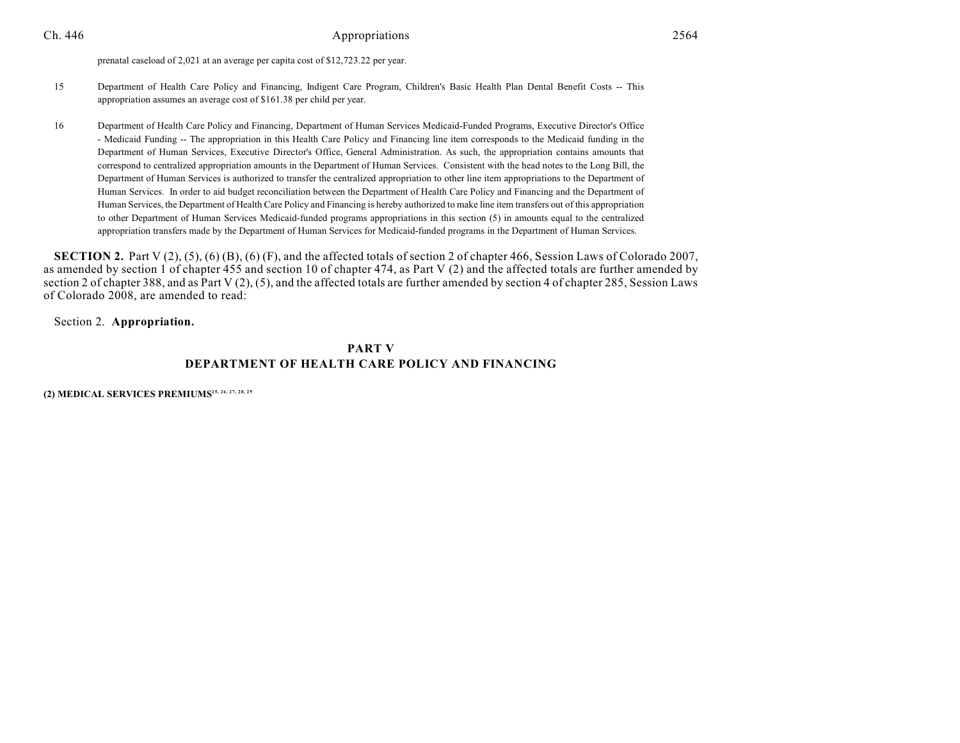prenatal caseload of 2,021 at an average per capita cost of \$12,723.22 per year.

- 15 Department of Health Care Policy and Financing, Indigent Care Program, Children's Basic Health Plan Dental Benefit Costs -- This appropriation assumes an average cost of \$161.38 per child per year.
- 16 Department of Health Care Policy and Financing, Department of Human Services Medicaid-Funded Programs, Executive Director's Office - Medicaid Funding -- The appropriation in this Health Care Policy and Financing line item corresponds to the Medicaid funding in the Department of Human Services, Executive Director's Office, General Administration. As such, the appropriation contains amounts that correspond to centralized appropriation amounts in the Department of Human Services. Consistent with the head notes to the Long Bill, the Department of Human Services is authorized to transfer the centralized appropriation to other line item appropriations to the Department of Human Services. In order to aid budget reconciliation between the Department of Health Care Policy and Financing and the Department of Human Services, the Department of Health Care Policy and Financing is hereby authorized to make line item transfers out of this appropriation to other Department of Human Services Medicaid-funded programs appropriations in this section (5) in amounts equal to the centralized appropriation transfers made by the Department of Human Services for Medicaid-funded programs in the Department of Human Services.

**SECTION 2.** Part V (2), (5), (6) (B), (6) (F), and the affected totals of section 2 of chapter 466, Session Laws of Colorado 2007, as amended by section 1 of chapter 455 and section 10 of chapter 474, as Part V (2) and the affected totals are further amended by section 2 of chapter 388, and as Part V (2), (5), and the affected totals are further amended by section 4 of chapter 285, Session Laws of Colorado 2008, are amended to read:

Section 2. **Appropriation.**

### **PART V DEPARTMENT OF HEALTH CARE POLICY AND FINANCING**

**(2) MEDICAL SERVICES PREMIUMS25, 26, 27, 28, 29**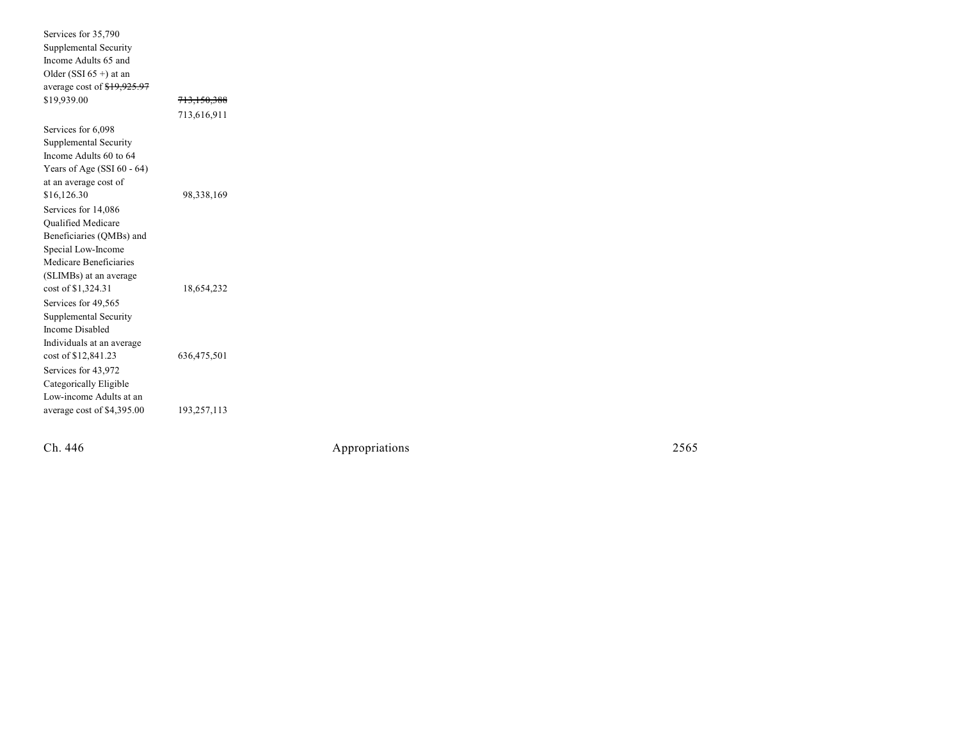| Services for 35,790           |                        |
|-------------------------------|------------------------|
| Supplemental Security         |                        |
| Income Adults 65 and          |                        |
| Older (SSI $65 +$ ) at an     |                        |
| average cost of \$19,925.97   |                        |
| \$19,939.00                   | <del>713,150,388</del> |
|                               | 713,616,911            |
| Services for 6,098            |                        |
| Supplemental Security         |                        |
| Income Adults 60 to 64        |                        |
| Years of Age (SSI $60 - 64$ ) |                        |
| at an average cost of         |                        |
| \$16,126.30                   | 98,338,169             |
| Services for 14,086           |                        |
| Qualified Medicare            |                        |
| Beneficiaries (QMBs) and      |                        |
| Special Low-Income            |                        |
| Medicare Beneficiaries        |                        |
| (SLIMBs) at an average        |                        |
| cost of \$1,324.31            | 18,654,232             |
| Services for 49,565           |                        |
| Supplemental Security         |                        |
| Income Disabled               |                        |
| Individuals at an average     |                        |
| cost of \$12,841.23           | 636,475,501            |
| Services for 43,972           |                        |
| Categorically Eligible        |                        |
| Low-income Adults at an       |                        |
| average cost of \$4,395.00    | 193,257,113            |

Ch. 446

Appropr iat

ions 2565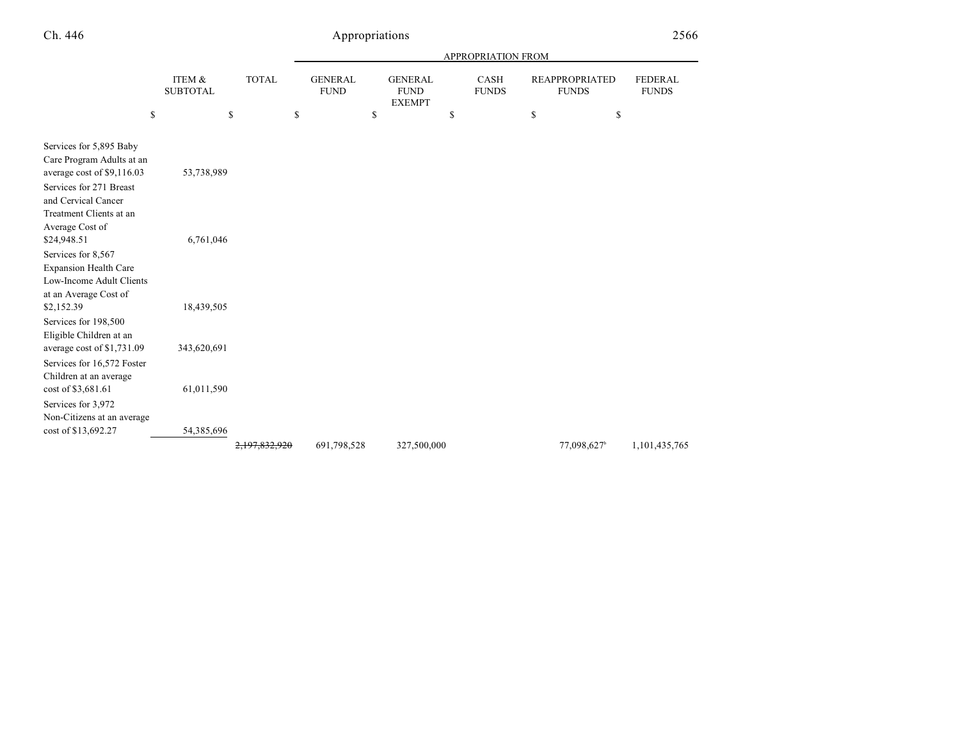|                                                                                                                                                                 |                           |              |                               |                                                | APPROPRIATION FROM          |                                       |                                |
|-----------------------------------------------------------------------------------------------------------------------------------------------------------------|---------------------------|--------------|-------------------------------|------------------------------------------------|-----------------------------|---------------------------------------|--------------------------------|
|                                                                                                                                                                 | ITEM &<br><b>SUBTOTAL</b> | <b>TOTAL</b> | <b>GENERAL</b><br><b>FUND</b> | <b>GENERAL</b><br><b>FUND</b><br><b>EXEMPT</b> | <b>CASH</b><br><b>FUNDS</b> | <b>REAPPROPRIATED</b><br><b>FUNDS</b> | <b>FEDERAL</b><br><b>FUNDS</b> |
| \$                                                                                                                                                              | \$                        |              | \$                            | \$                                             | \$                          | \$<br>\$                              |                                |
| Services for 5,895 Baby<br>Care Program Adults at an<br>average cost of \$9,116.03<br>Services for 271 Breast<br>and Cervical Cancer<br>Treatment Clients at an | 53,738,989                |              |                               |                                                |                             |                                       |                                |
| Average Cost of<br>\$24,948.51<br>Services for 8,567<br><b>Expansion Health Care</b><br>Low-Income Adult Clients<br>at an Average Cost of                       | 6,761,046                 |              |                               |                                                |                             |                                       |                                |
| \$2,152.39<br>Services for 198,500<br>Eligible Children at an                                                                                                   | 18,439,505                |              |                               |                                                |                             |                                       |                                |
| average cost of \$1,731.09<br>Services for 16,572 Foster<br>Children at an average                                                                              | 343,620,691               |              |                               |                                                |                             |                                       |                                |
| cost of \$3,681.61<br>Services for 3,972<br>Non-Citizens at an average                                                                                          | 61,011,590                |              |                               |                                                |                             |                                       |                                |
| cost of \$13,692.27                                                                                                                                             | 54,385,696                |              | 691,798,528                   | 327,500,000                                    |                             | 77,098,627 <sup>b</sup>               | 1,101,435,765                  |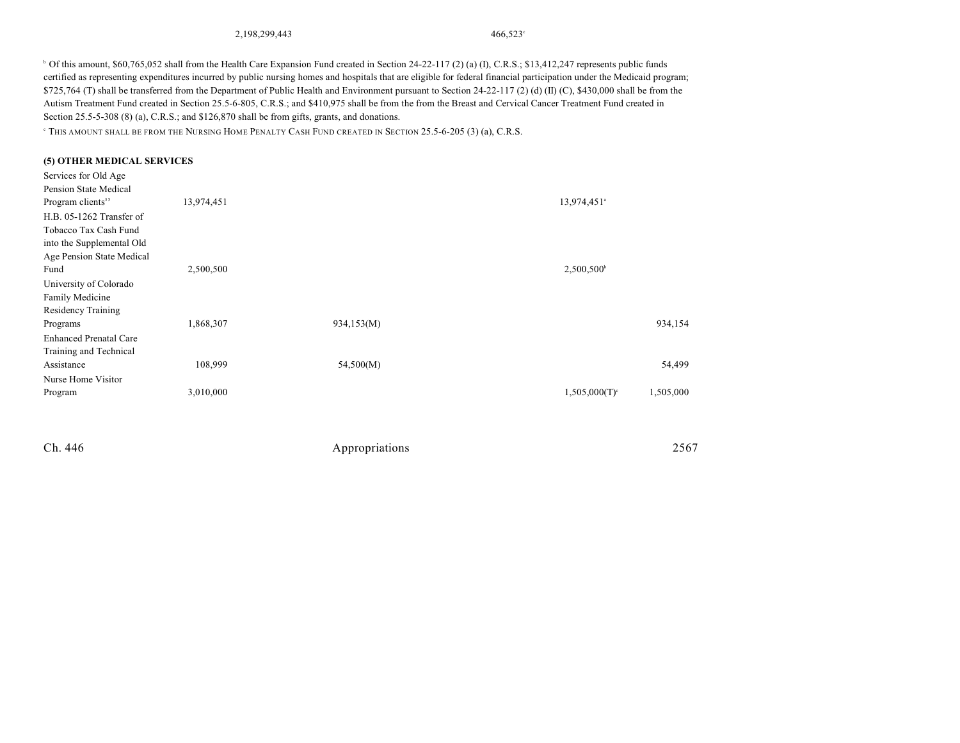2,198,299,443 466,523<sup>c</sup>

<sup>b</sup> Of this amount, \$60,765,052 shall from the Health Care Expansion Fund created in Section 24-22-117 (2) (a) (I), C.R.S.; \$13,412,247 represents public funds certified as representing expenditures incurred by public nursing homes and hospitals that are eligible for federal financial participation under the Medicaid program; \$725,764 (T) shall be transferred from the Department of Public Health and Environment pursuant to Section 24-22-117 (2) (d) (II) (C), \$430,000 shall be from the Autism Treatment Fund created in Section 25.5-6-805, C.R.S.; and \$410,975 shall be from the from the Breast and Cervical Cancer Treatment Fund created in Section 25.5-5-308 (8) (a), C.R.S.; and \$126,870 shall be from gifts, grants, and donations.

THIS AMOUNT SHALL BE FROM THE NURSING HOME PENALTY CASH FUND CREATED IN SECTION 25.5-6-205 (3) (a), C.R.S. <sup>c</sup>

#### **(5) OTHER MEDICAL SERVICES**

| Services for Old Age          |            |            |                               |
|-------------------------------|------------|------------|-------------------------------|
| Pension State Medical         |            |            |                               |
| Program clients <sup>35</sup> | 13,974,451 |            | 13,974,451 <sup>a</sup>       |
| H.B. 05-1262 Transfer of      |            |            |                               |
| Tobacco Tax Cash Fund         |            |            |                               |
| into the Supplemental Old     |            |            |                               |
| Age Pension State Medical     |            |            |                               |
| Fund                          | 2,500,500  |            | $2,500,500^{\circ}$           |
| University of Colorado        |            |            |                               |
| Family Medicine               |            |            |                               |
| Residency Training            |            |            |                               |
| Programs                      | 1,868,307  | 934,153(M) | 934,154                       |
| <b>Enhanced Prenatal Care</b> |            |            |                               |
| Training and Technical        |            |            |                               |
| Assistance                    | 108,999    | 54,500(M)  | 54,499                        |
| Nurse Home Visitor            |            |            |                               |
| Program                       | 3,010,000  |            | 1,505,000<br>$1,505,000(T)^c$ |
|                               |            |            |                               |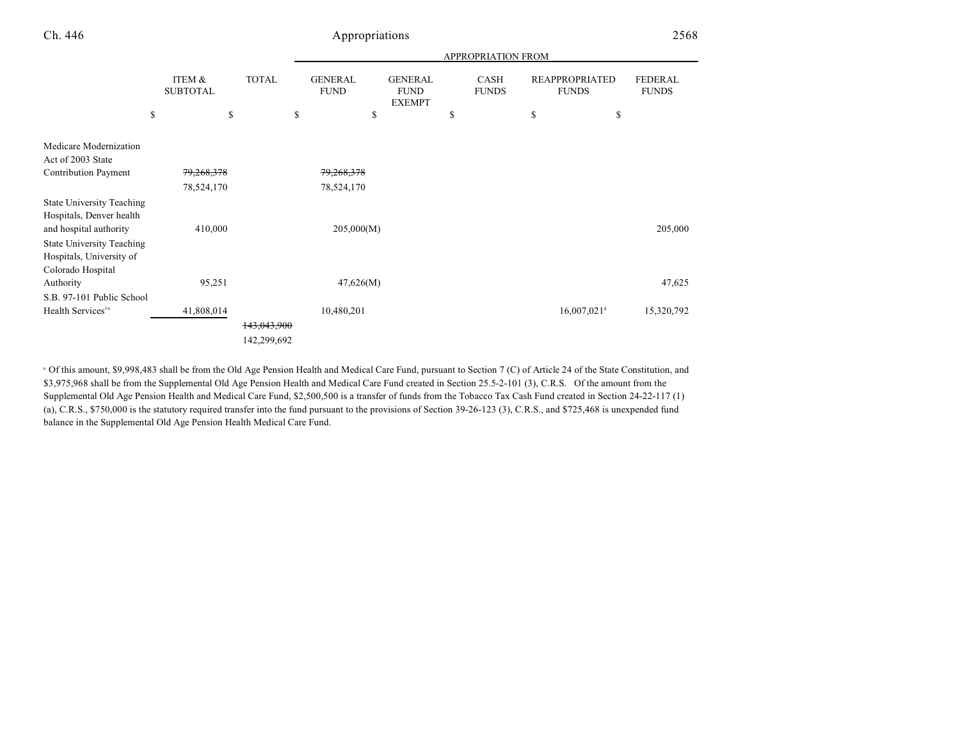|                                                                                                             |                           |                            |                               |                                                | <b>APPROPRIATION FROM</b> |                                       |                                |
|-------------------------------------------------------------------------------------------------------------|---------------------------|----------------------------|-------------------------------|------------------------------------------------|---------------------------|---------------------------------------|--------------------------------|
|                                                                                                             | ITEM &<br><b>SUBTOTAL</b> | <b>TOTAL</b>               | <b>GENERAL</b><br><b>FUND</b> | <b>GENERAL</b><br><b>FUND</b><br><b>EXEMPT</b> | CASH<br><b>FUNDS</b>      | <b>REAPPROPRIATED</b><br><b>FUNDS</b> | <b>FEDERAL</b><br><b>FUNDS</b> |
| \$                                                                                                          |                           | \$                         | \$<br>\$                      |                                                | \$                        | \$<br>\$                              |                                |
| Medicare Modernization<br>Act of 2003 State                                                                 |                           |                            |                               |                                                |                           |                                       |                                |
| <b>Contribution Payment</b>                                                                                 | 79,268,378                |                            | 79,268,378                    |                                                |                           |                                       |                                |
|                                                                                                             | 78,524,170                |                            | 78,524,170                    |                                                |                           |                                       |                                |
| <b>State University Teaching</b><br>Hospitals, Denver health                                                |                           |                            |                               |                                                |                           |                                       |                                |
| and hospital authority<br><b>State University Teaching</b><br>Hospitals, University of<br>Colorado Hospital | 410,000                   |                            | 205,000(M)                    |                                                |                           |                                       | 205,000                        |
| Authority                                                                                                   | 95,251                    |                            | 47,626(M)                     |                                                |                           |                                       | 47,625                         |
| S.B. 97-101 Public School                                                                                   |                           |                            |                               |                                                |                           |                                       |                                |
| Health Services <sup>36</sup>                                                                               | 41,808,014                |                            | 10,480,201                    |                                                |                           | $16,007,021$ <sup>d</sup>             | 15,320,792                     |
|                                                                                                             |                           | 143,043,900<br>142,299,692 |                               |                                                |                           |                                       |                                |

<sup>a</sup> Of this amount, \$9,998,483 shall be from the Old Age Pension Health and Medical Care Fund, pursuant to Section 7 (C) of Article 24 of the State Constitution, and \$3,975,968 shall be from the Supplemental Old Age Pension Health and Medical Care Fund created in Section 25.5-2-101 (3), C.R.S. Of the amount from the Supplemental Old Age Pension Health and Medical Care Fund, \$2,500,500 is a transfer of funds from the Tobacco Tax Cash Fund created in Section 24-22-117 (1) (a), C.R.S., \$750,000 is the statutory required transfer into the fund pursuant to the provisions of Section 39-26-123 (3), C.R.S., and \$725,468 is unexpended fund balance in the Supplemental Old Age Pension Health Medical Care Fund.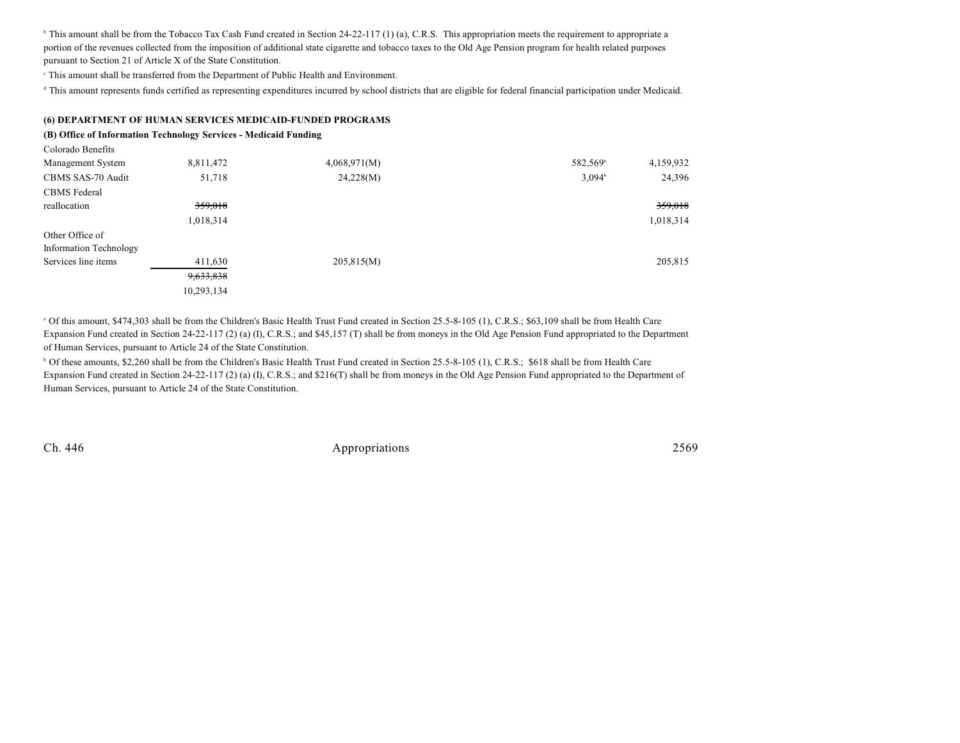<sup>b</sup> This amount shall be from the Tobacco Tax Cash Fund created in Section 24-22-117 (1) (a), C.R.S. This appropriation meets the requirement to appropriate a portion of the revenues collected from the imposition of additional state cigarette and tobacco taxes to the Old Age Pension program for health related purposes pursuant to Section 21 of Article X of the State Constitution.

This amount shall be transferred from the Department of Public Health and Environment. <sup>c</sup>

<sup>d</sup> This amount represents funds certified as representing expenditures incurred by school districts that are eligible for federal financial participation under Medicaid.

#### **(6) DEPARTMENT OF HUMAN SERVICES MEDICAID-FUNDED PROGRAMS**

#### **(B) Office of Information Technology Services - Medicaid Funding**

| -------------------    |            |              |                      |           |
|------------------------|------------|--------------|----------------------|-----------|
| Management System      | 8,811,472  | 4,068,971(M) | 582,569 <sup>a</sup> | 4,159,932 |
| CBMS SAS-70 Audit      | 51,718     | 24,228(M)    | 3.094 <sup>b</sup>   | 24,396    |
| <b>CBMS</b> Federal    |            |              |                      |           |
| reallocation           | 359,018    |              |                      | 359,018   |
|                        | 1,018,314  |              |                      | 1,018,314 |
| Other Office of        |            |              |                      |           |
| Information Technology |            |              |                      |           |
| Services line items    | 411,630    | 205,815(M)   |                      | 205,815   |
|                        | 9,633,838  |              |                      |           |
|                        | 10,293,134 |              |                      |           |

<sup>a</sup> Of this amount, \$474,303 shall be from the Children's Basic Health Trust Fund created in Section 25.5-8-105 (1), C.R.S.; \$63,109 shall be from Health Care Expansion Fund created in Section 24-22-117 (2) (a) (I), C.R.S.; and \$45,157 (T) shall be from moneys in the Old Age Pension Fund appropriated to the Department of Human Services, pursuant to Article 24 of the State Constitution.

<sup>b</sup> Of these amounts, \$2,260 shall be from the Children's Basic Health Trust Fund created in Section 25.5-8-105 (1), C.R.S.; \$618 shall be from Health Care Expansion Fund created in Section 24-22-117 (2) (a) (I), C.R.S.; and \$216(T) shall be from moneys in the Old Age Pension Fund appropriated to the Department of Human Services, pursuant to Article 24 of the State Constitution.

Colorado Benefits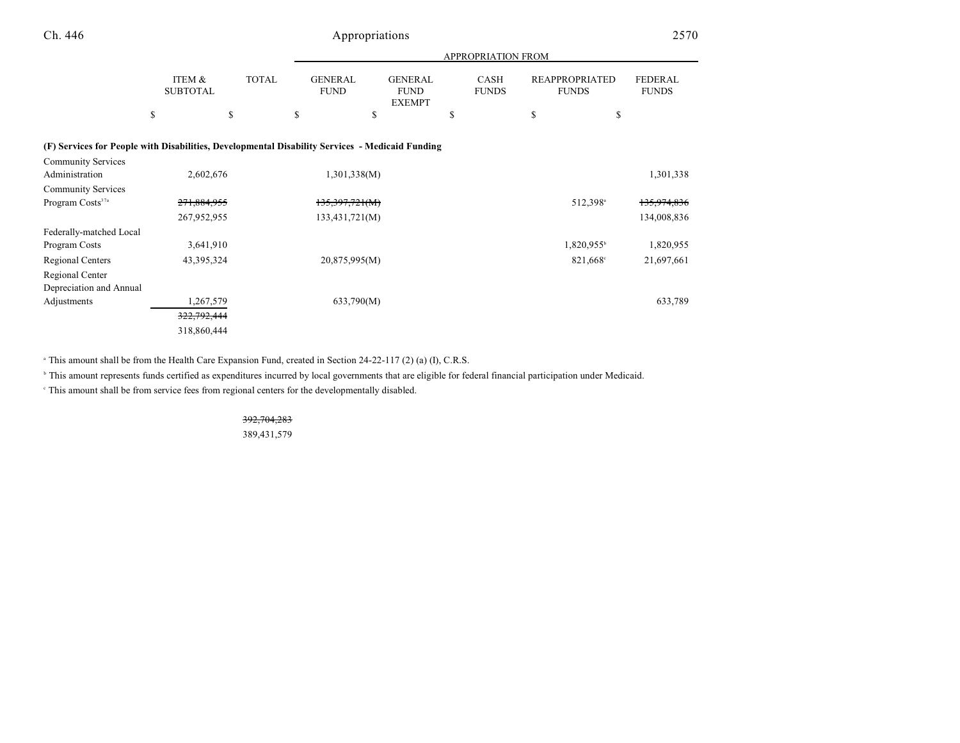|                                                                                                 |                           |              | <b>APPROPRIATION FROM</b>     |                                                |                             |                                       |                                |  |  |  |
|-------------------------------------------------------------------------------------------------|---------------------------|--------------|-------------------------------|------------------------------------------------|-----------------------------|---------------------------------------|--------------------------------|--|--|--|
|                                                                                                 | ITEM &<br><b>SUBTOTAL</b> | <b>TOTAL</b> | <b>GENERAL</b><br><b>FUND</b> | <b>GENERAL</b><br><b>FUND</b><br><b>EXEMPT</b> | <b>CASH</b><br><b>FUNDS</b> | <b>REAPPROPRIATED</b><br><b>FUNDS</b> | <b>FEDERAL</b><br><b>FUNDS</b> |  |  |  |
|                                                                                                 | \$                        | \$           | \$                            | \$                                             | \$                          | \$<br>\$                              |                                |  |  |  |
| (F) Services for People with Disabilities, Developmental Disability Services - Medicaid Funding |                           |              |                               |                                                |                             |                                       |                                |  |  |  |
| <b>Community Services</b>                                                                       |                           |              |                               |                                                |                             |                                       |                                |  |  |  |
| Administration                                                                                  | 2,602,676                 |              | 1,301,338(M)                  |                                                |                             |                                       | 1,301,338                      |  |  |  |
| <b>Community Services</b>                                                                       |                           |              |                               |                                                |                             |                                       |                                |  |  |  |
| Program Costs <sup>37a</sup>                                                                    | 271,884,955               |              | 135,397,721(M)                |                                                |                             | 512,398 <sup>a</sup>                  | 135,974,836                    |  |  |  |
|                                                                                                 | 267,952,955               |              | 133,431,721(M)                |                                                |                             |                                       | 134,008,836                    |  |  |  |
| Federally-matched Local                                                                         |                           |              |                               |                                                |                             |                                       |                                |  |  |  |
| Program Costs                                                                                   | 3,641,910                 |              |                               |                                                |                             | 1,820,955 <sup>b</sup>                | 1,820,955                      |  |  |  |
| Regional Centers                                                                                | 43, 395, 324              |              | 20,875,995(M)                 |                                                |                             | 821,668 <sup>c</sup>                  | 21,697,661                     |  |  |  |
| Regional Center<br>Depreciation and Annual                                                      |                           |              |                               |                                                |                             |                                       |                                |  |  |  |
| Adjustments                                                                                     | 1,267,579                 |              | 633,790(M)                    |                                                |                             |                                       | 633,789                        |  |  |  |
|                                                                                                 | 322,792,444               |              |                               |                                                |                             |                                       |                                |  |  |  |
|                                                                                                 | 318,860,444               |              |                               |                                                |                             |                                       |                                |  |  |  |

<sup>a</sup> This amount shall be from the Health Care Expansion Fund, created in Section 24-22-117 (2) (a) (I), C.R.S.

<sup>b</sup> This amount represents funds certified as expenditures incurred by local governments that are eligible for federal financial participation under Medicaid.

This amount shall be from service fees from regional centers for the developmentally disabled. <sup>c</sup>

## 392,704,283

389,431,579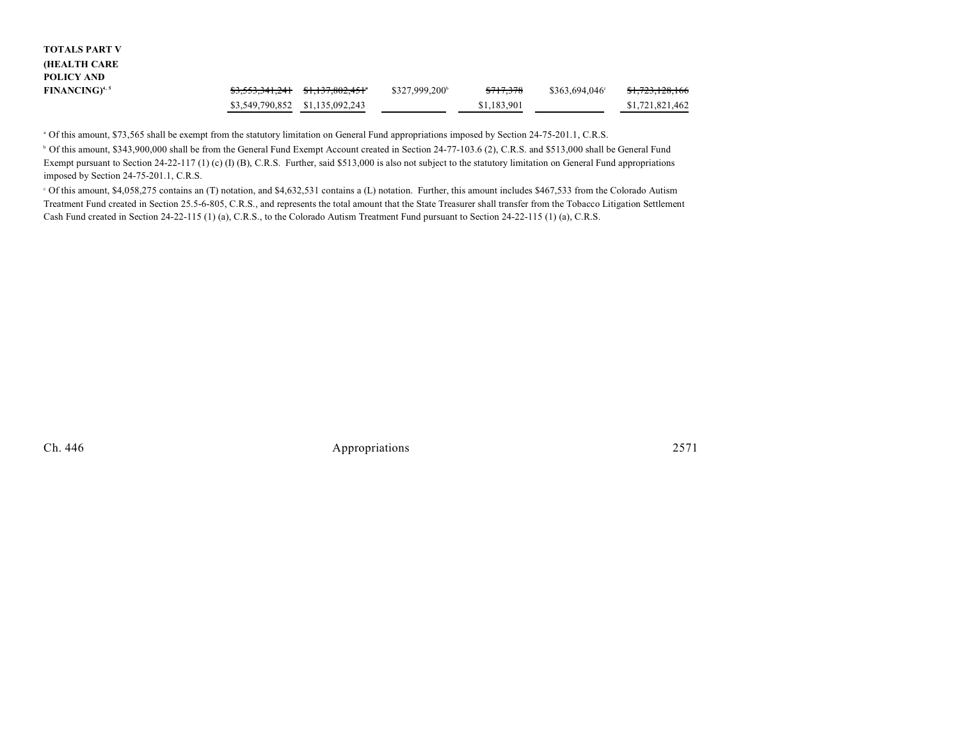| TOTALS PART V                     |                                 |                                 |                            |                      |                        |                 |  |
|-----------------------------------|---------------------------------|---------------------------------|----------------------------|----------------------|------------------------|-----------------|--|
| (HEALTH CARE                      |                                 |                                 |                            |                      |                        |                 |  |
| POLICY AND                        |                                 |                                 |                            |                      |                        |                 |  |
| <b>FINANCING)</b> <sup>4, 5</sup> |                                 | \$3,553,341,241 \$1,137,802,451 | \$327,999,200 <sup>b</sup> | <del>\$717,378</del> | $$363.694.046^{\circ}$ | \$1,723,128,166 |  |
|                                   | \$3,549,790,852 \$1,135,092,243 |                                 |                            | \$1,183,901          |                        | \$1,721,821,462 |  |
|                                   |                                 |                                 |                            |                      |                        |                 |  |

<sup>a</sup> Of this amount, \$73,565 shall be exempt from the statutory limitation on General Fund appropriations imposed by Section 24-75-201.1, C.R.S.

 Of this amount, \$343,900,000 shall be from the General Fund Exempt Account created in Section 24-77-103.6 (2), C.R.S. and \$513,000 shall be General Fund <sup>b</sup> Exempt pursuant to Section 24-22-117 (1) (c) (I) (B), C.R.S. Further, said \$513,000 is also not subject to the statutory limitation on General Fund appropriations imposed by Section 24-75-201.1, C.R.S.

 Of this amount, \$4,058,275 contains an (T) notation, and \$4,632,531 contains a (L) notation. Further, this amount includes \$467,533 from the Colorado Autism <sup>c</sup> Treatment Fund created in Section 25.5-6-805, C.R.S., and represents the total amount that the State Treasurer shall transfer from the Tobacco Litigation Settlement Cash Fund created in Section 24-22-115 (1) (a), C.R.S., to the Colorado Autism Treatment Fund pursuant to Section 24-22-115 (1) (a), C.R.S.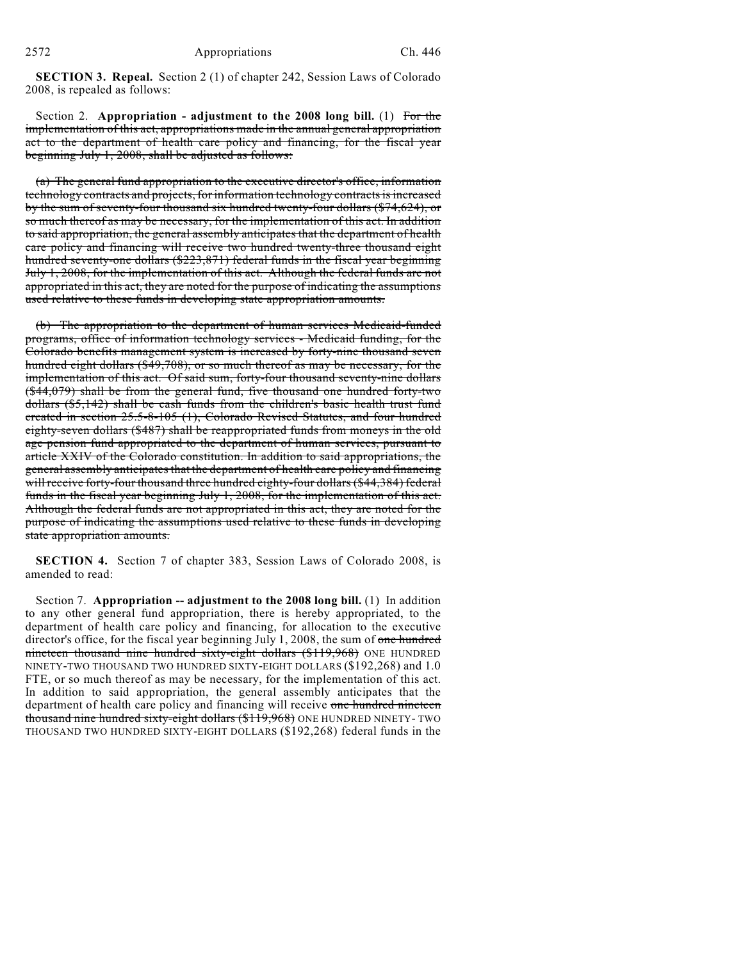**SECTION 3. Repeal.** Section 2 (1) of chapter 242, Session Laws of Colorado 2008, is repealed as follows:

Section 2. **Appropriation - adjustment to the 2008 long bill.** (1) For the implementation of this act, appropriations made in the annual general appropriation act to the department of health care policy and financing, for the fiscal year beginning July 1, 2008, shall be adjusted as follows:

(a) The general fund appropriation to the executive director's office, information technology contracts and projects,for information technology contracts is increased by the sum of seventy-four thousand six hundred twenty-four dollars (\$74,624), or so much thereof as may be necessary, for the implementation of this act. In addition to said appropriation, the general assembly anticipates that the department of health care policy and financing will receive two hundred twenty-three thousand eight hundred seventy-one dollars (\$223,871) federal funds in the fiscal year beginning July 1, 2008, for the implementation of this act. Although the federal funds are not appropriated in this act, they are noted for the purpose of indicating the assumptions used relative to these funds in developing state appropriation amounts.

(b) The appropriation to the department of human services Medicaid-funded programs, office of information technology services - Medicaid funding, for the Colorado benefits management system is increased by forty-nine thousand seven hundred eight dollars (\$49,708), or so much thereof as may be necessary, for the implementation of this act. Of said sum, forty-four thousand seventy-nine dollars (\$44,079) shall be from the general fund, five thousand one hundred forty-two dollars (\$5,142) shall be cash funds from the children's basic health trust fund created in section 25.5-8-105 (1), Colorado Revised Statutes, and four hundred eighty-seven dollars (\$487) shall be reappropriated funds from moneys in the old age pension fund appropriated to the department of human services, pursuant to article XXIV of the Colorado constitution. In addition to said appropriations, the general assembly anticipates that the department of health care policy and financing will receive forty-four thousand three hundred eighty-four dollars (\$44,384) federal funds in the fiscal year beginning July 1, 2008, for the implementation of this act. Although the federal funds are not appropriated in this act, they are noted for the purpose of indicating the assumptions used relative to these funds in developing state appropriation amounts.

**SECTION 4.** Section 7 of chapter 383, Session Laws of Colorado 2008, is amended to read:

Section 7. **Appropriation -- adjustment to the 2008 long bill.** (1) In addition to any other general fund appropriation, there is hereby appropriated, to the department of health care policy and financing, for allocation to the executive director's office, for the fiscal year beginning July 1, 2008, the sum of one hundred nineteen thousand nine hundred sixty-eight dollars (\$119,968) ONE HUNDRED NINETY-TWO THOUSAND TWO HUNDRED SIXTY-EIGHT DOLLARS (\$192,268) and 1.0 FTE, or so much thereof as may be necessary, for the implementation of this act. In addition to said appropriation, the general assembly anticipates that the department of health care policy and financing will receive one hundred nineteen thousand nine hundred sixty-eight dollars (\$119,968) ONE HUNDRED NINETY- TWO THOUSAND TWO HUNDRED SIXTY-EIGHT DOLLARS (\$192,268) federal funds in the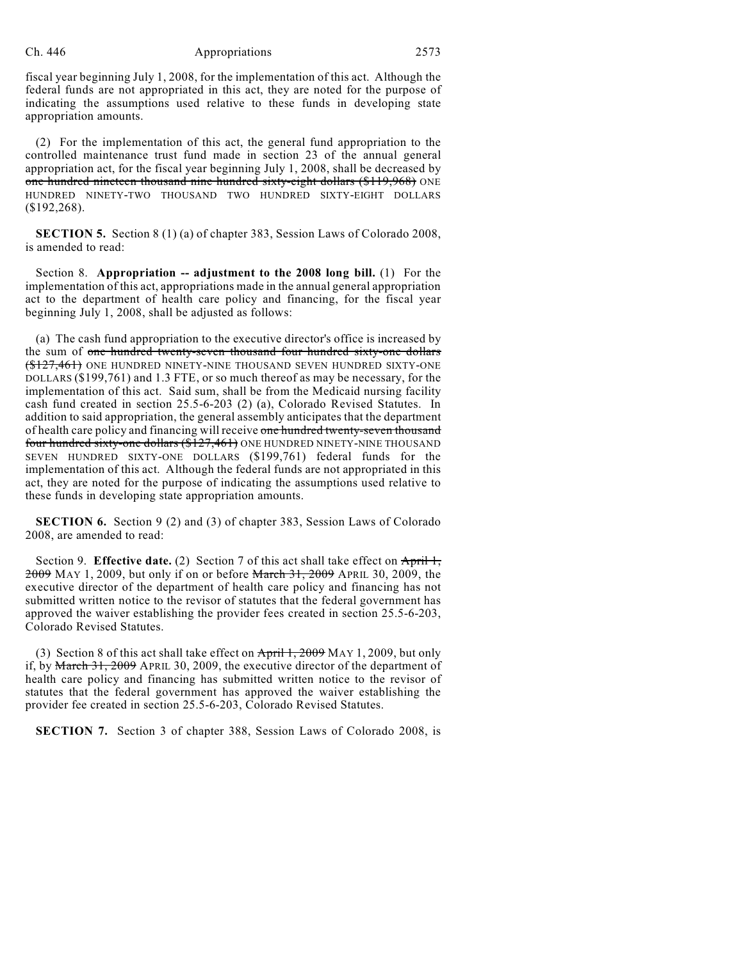fiscal year beginning July 1, 2008, for the implementation of this act. Although the federal funds are not appropriated in this act, they are noted for the purpose of indicating the assumptions used relative to these funds in developing state appropriation amounts.

(2) For the implementation of this act, the general fund appropriation to the controlled maintenance trust fund made in section 23 of the annual general appropriation act, for the fiscal year beginning July 1, 2008, shall be decreased by one hundred nineteen thousand nine hundred sixty-eight dollars (\$119,968) ONE HUNDRED NINETY-TWO THOUSAND TWO HUNDRED SIXTY-EIGHT DOLLARS (\$192,268).

**SECTION 5.** Section 8 (1) (a) of chapter 383, Session Laws of Colorado 2008, is amended to read:

Section 8. **Appropriation -- adjustment to the 2008 long bill.** (1) For the implementation of this act, appropriations made in the annual general appropriation act to the department of health care policy and financing, for the fiscal year beginning July 1, 2008, shall be adjusted as follows:

(a) The cash fund appropriation to the executive director's office is increased by the sum of one hundred twenty-seven thousand four hundred sixty-one dollars (\$127,461) ONE HUNDRED NINETY-NINE THOUSAND SEVEN HUNDRED SIXTY-ONE DOLLARS (\$199,761) and 1.3 FTE, or so much thereof as may be necessary, for the implementation of this act. Said sum, shall be from the Medicaid nursing facility cash fund created in section 25.5-6-203 (2) (a), Colorado Revised Statutes. In addition to said appropriation, the general assembly anticipates that the department of health care policy and financing will receive one hundred twenty-seven thousand four hundred sixty-one dollars (\$127,461) ONE HUNDRED NINETY-NINE THOUSAND SEVEN HUNDRED SIXTY-ONE DOLLARS (\$199,761) federal funds for the implementation of this act. Although the federal funds are not appropriated in this act, they are noted for the purpose of indicating the assumptions used relative to these funds in developing state appropriation amounts.

**SECTION 6.** Section 9 (2) and (3) of chapter 383, Session Laws of Colorado 2008, are amended to read:

Section 9. **Effective date.** (2) Section 7 of this act shall take effect on April 1, 2009 MAY 1, 2009, but only if on or before March 31, 2009 APRIL 30, 2009, the executive director of the department of health care policy and financing has not submitted written notice to the revisor of statutes that the federal government has approved the waiver establishing the provider fees created in section 25.5-6-203, Colorado Revised Statutes.

(3) Section 8 of this act shall take effect on  $\overrightarrow{April 1, 2009}$  MAY 1, 2009, but only if, by March 31, 2009 APRIL 30, 2009, the executive director of the department of health care policy and financing has submitted written notice to the revisor of statutes that the federal government has approved the waiver establishing the provider fee created in section 25.5-6-203, Colorado Revised Statutes.

**SECTION 7.** Section 3 of chapter 388, Session Laws of Colorado 2008, is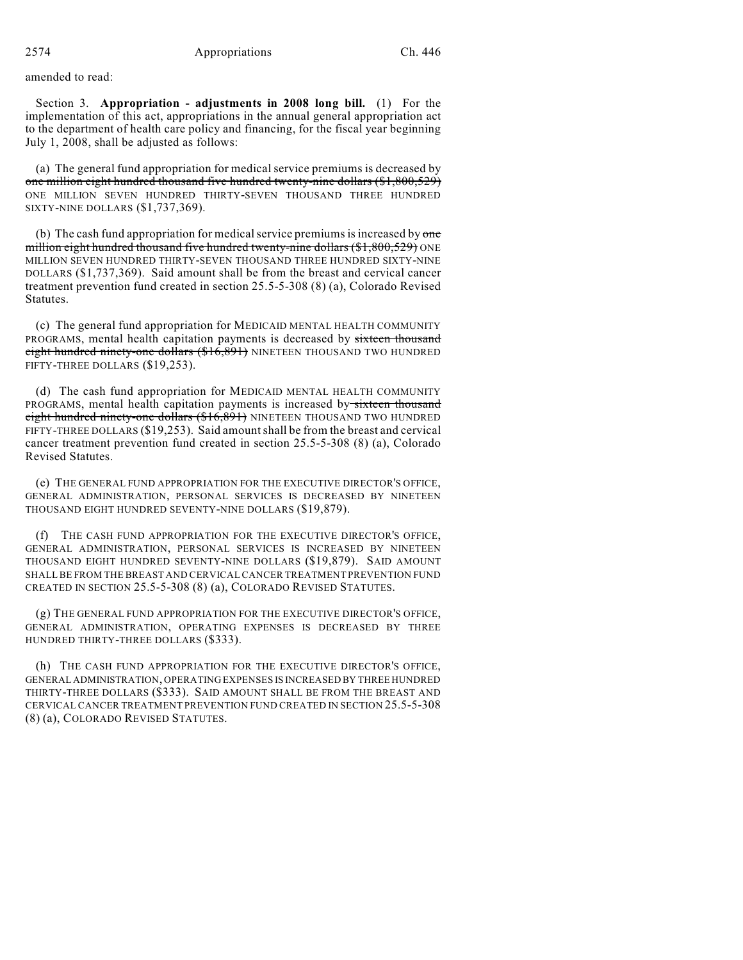amended to read:

Section 3. **Appropriation - adjustments in 2008 long bill.** (1) For the implementation of this act, appropriations in the annual general appropriation act to the department of health care policy and financing, for the fiscal year beginning July 1, 2008, shall be adjusted as follows:

(a) The general fund appropriation for medical service premiums is decreased by one million eight hundred thousand five hundred twenty-nine dollars (\$1,800,529) ONE MILLION SEVEN HUNDRED THIRTY-SEVEN THOUSAND THREE HUNDRED SIXTY-NINE DOLLARS (\$1,737,369).

(b) The cash fund appropriation for medical service premiums is increased by  $one$ million eight hundred thousand five hundred twenty-nine dollars (\$1,800,529) ONE MILLION SEVEN HUNDRED THIRTY-SEVEN THOUSAND THREE HUNDRED SIXTY-NINE DOLLARS (\$1,737,369). Said amount shall be from the breast and cervical cancer treatment prevention fund created in section 25.5-5-308 (8) (a), Colorado Revised Statutes.

(c) The general fund appropriation for MEDICAID MENTAL HEALTH COMMUNITY PROGRAMS, mental health capitation payments is decreased by sixteen thousand eight hundred ninety-one dollars (\$16,891) NINETEEN THOUSAND TWO HUNDRED FIFTY-THREE DOLLARS (\$19,253).

(d) The cash fund appropriation for MEDICAID MENTAL HEALTH COMMUNITY PROGRAMS, mental health capitation payments is increased by sixteen thousand eight hundred ninety-one dollars (\$16,891) NINETEEN THOUSAND TWO HUNDRED FIFTY-THREE DOLLARS (\$19,253). Said amountshall be from the breast and cervical cancer treatment prevention fund created in section 25.5-5-308 (8) (a), Colorado Revised Statutes.

(e) THE GENERAL FUND APPROPRIATION FOR THE EXECUTIVE DIRECTOR'S OFFICE, GENERAL ADMINISTRATION, PERSONAL SERVICES IS DECREASED BY NINETEEN THOUSAND EIGHT HUNDRED SEVENTY-NINE DOLLARS (\$19,879).

(f) THE CASH FUND APPROPRIATION FOR THE EXECUTIVE DIRECTOR'S OFFICE, GENERAL ADMINISTRATION, PERSONAL SERVICES IS INCREASED BY NINETEEN THOUSAND EIGHT HUNDRED SEVENTY-NINE DOLLARS (\$19,879). SAID AMOUNT SHALL BE FROM THE BREAST AND CERVICAL CANCER TREATMENT PREVENTION FUND CREATED IN SECTION 25.5-5-308 (8) (a), COLORADO REVISED STATUTES.

(g) THE GENERAL FUND APPROPRIATION FOR THE EXECUTIVE DIRECTOR'S OFFICE, GENERAL ADMINISTRATION, OPERATING EXPENSES IS DECREASED BY THREE HUNDRED THIRTY-THREE DOLLARS (\$333).

(h) THE CASH FUND APPROPRIATION FOR THE EXECUTIVE DIRECTOR'S OFFICE, GENERAL ADMINISTRATION, OPERATING EXPENSES IS INCREASED BY THREE HUNDRED THIRTY-THREE DOLLARS (\$333). SAID AMOUNT SHALL BE FROM THE BREAST AND CERVICAL CANCER TREATMENT PREVENTION FUND CREATED IN SECTION 25.5-5-308 (8) (a), COLORADO REVISED STATUTES.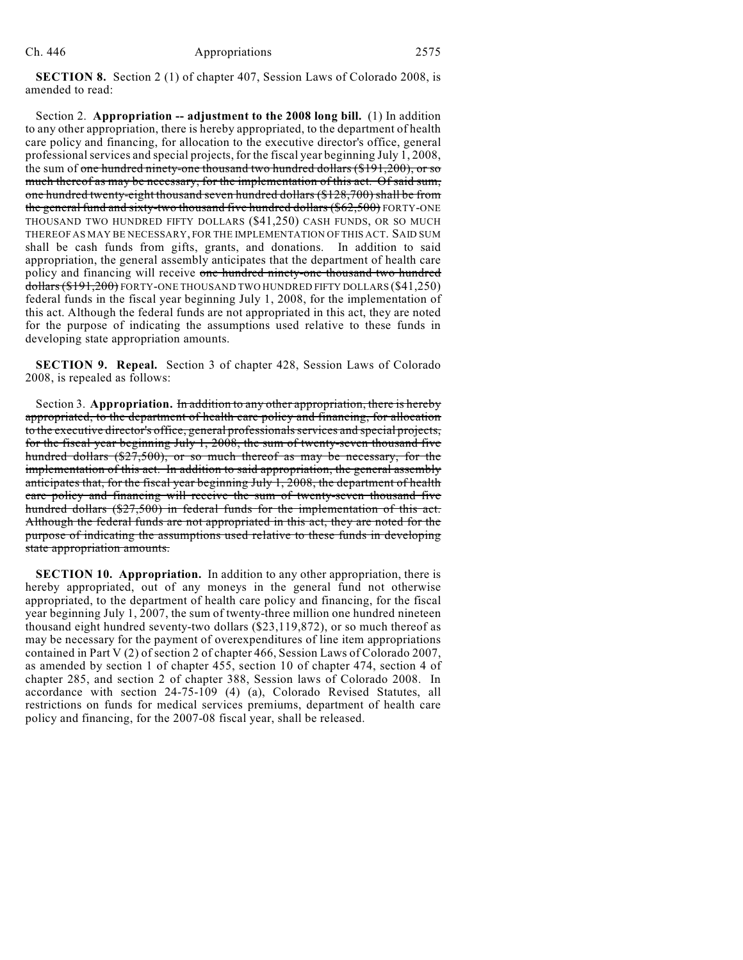**SECTION 8.** Section 2 (1) of chapter 407, Session Laws of Colorado 2008, is amended to read:

Section 2. **Appropriation -- adjustment to the 2008 long bill.** (1) In addition to any other appropriation, there is hereby appropriated, to the department of health care policy and financing, for allocation to the executive director's office, general professional services and special projects, for the fiscal year beginning July 1, 2008, the sum of <del>one hundred ninety-one thousand two hundred dollars (\$191,200), or so</del> much thereof as may be necessary, for the implementation of this act. Of said sum, one hundred twenty-eight thousand seven hundred dollars (\$128,700) shall be from the general fund and sixty-two thousand five hundred dollars  $(\$62,500)$  FORTY-ONE THOUSAND TWO HUNDRED FIFTY DOLLARS (\$41,250) CASH FUNDS, OR SO MUCH THEREOF AS MAY BE NECESSARY, FOR THE IMPLEMENTATION OF THIS ACT. SAID SUM shall be cash funds from gifts, grants, and donations. In addition to said appropriation, the general assembly anticipates that the department of health care policy and financing will receive one hundred ninety-one thousand two hundred dollars (\$191,200) FORTY-ONE THOUSAND TWO HUNDRED FIFTY DOLLARS (\$41,250) federal funds in the fiscal year beginning July 1, 2008, for the implementation of this act. Although the federal funds are not appropriated in this act, they are noted for the purpose of indicating the assumptions used relative to these funds in developing state appropriation amounts.

**SECTION 9. Repeal.** Section 3 of chapter 428, Session Laws of Colorado 2008, is repealed as follows:

Section 3. **Appropriation.** In addition to any other appropriation, there is hereby appropriated, to the department of health care policy and financing, for allocation to the executive director's office, general professionals services and special projects, for the fiscal year beginning July 1, 2008, the sum of twenty-seven thousand five hundred dollars (\$27,500), or so much thereof as may be necessary, for the implementation of this act. In addition to said appropriation, the general assembly anticipates that, for the fiscal year beginning July 1, 2008, the department of health care policy and financing will receive the sum of twenty-seven thousand five hundred dollars (\$27,500) in federal funds for the implementation of this act. Although the federal funds are not appropriated in this act, they are noted for the purpose of indicating the assumptions used relative to these funds in developing state appropriation amounts.

**SECTION 10. Appropriation.** In addition to any other appropriation, there is hereby appropriated, out of any moneys in the general fund not otherwise appropriated, to the department of health care policy and financing, for the fiscal year beginning July 1, 2007, the sum of twenty-three million one hundred nineteen thousand eight hundred seventy-two dollars (\$23,119,872), or so much thereof as may be necessary for the payment of overexpenditures of line item appropriations contained in Part V (2) of section 2 of chapter 466, Session Laws of Colorado 2007, as amended by section 1 of chapter 455, section 10 of chapter 474, section 4 of chapter 285, and section 2 of chapter 388, Session laws of Colorado 2008. In accordance with section 24-75-109 (4) (a), Colorado Revised Statutes, all restrictions on funds for medical services premiums, department of health care policy and financing, for the 2007-08 fiscal year, shall be released.